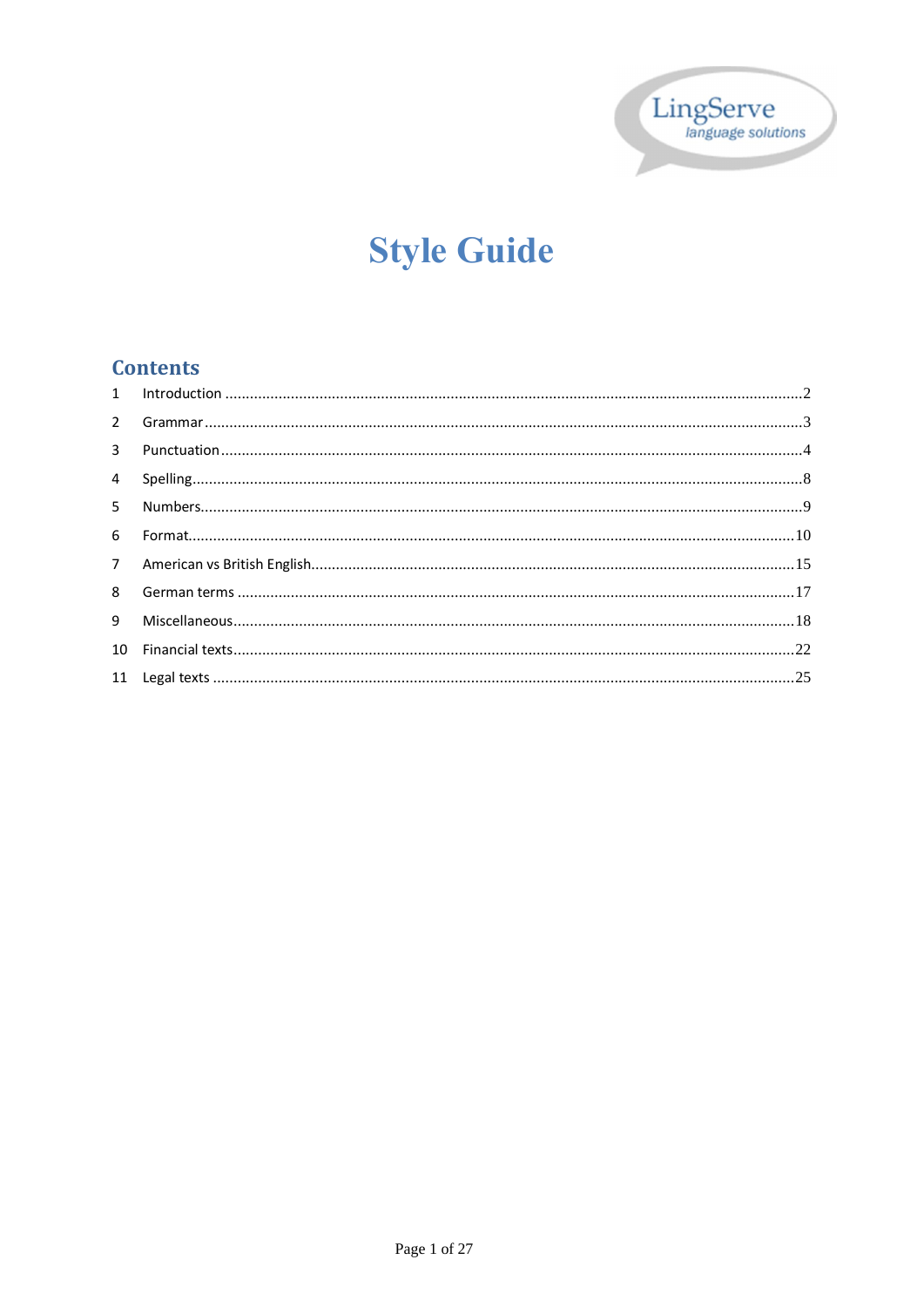

# **Style Guide**

# **Contents**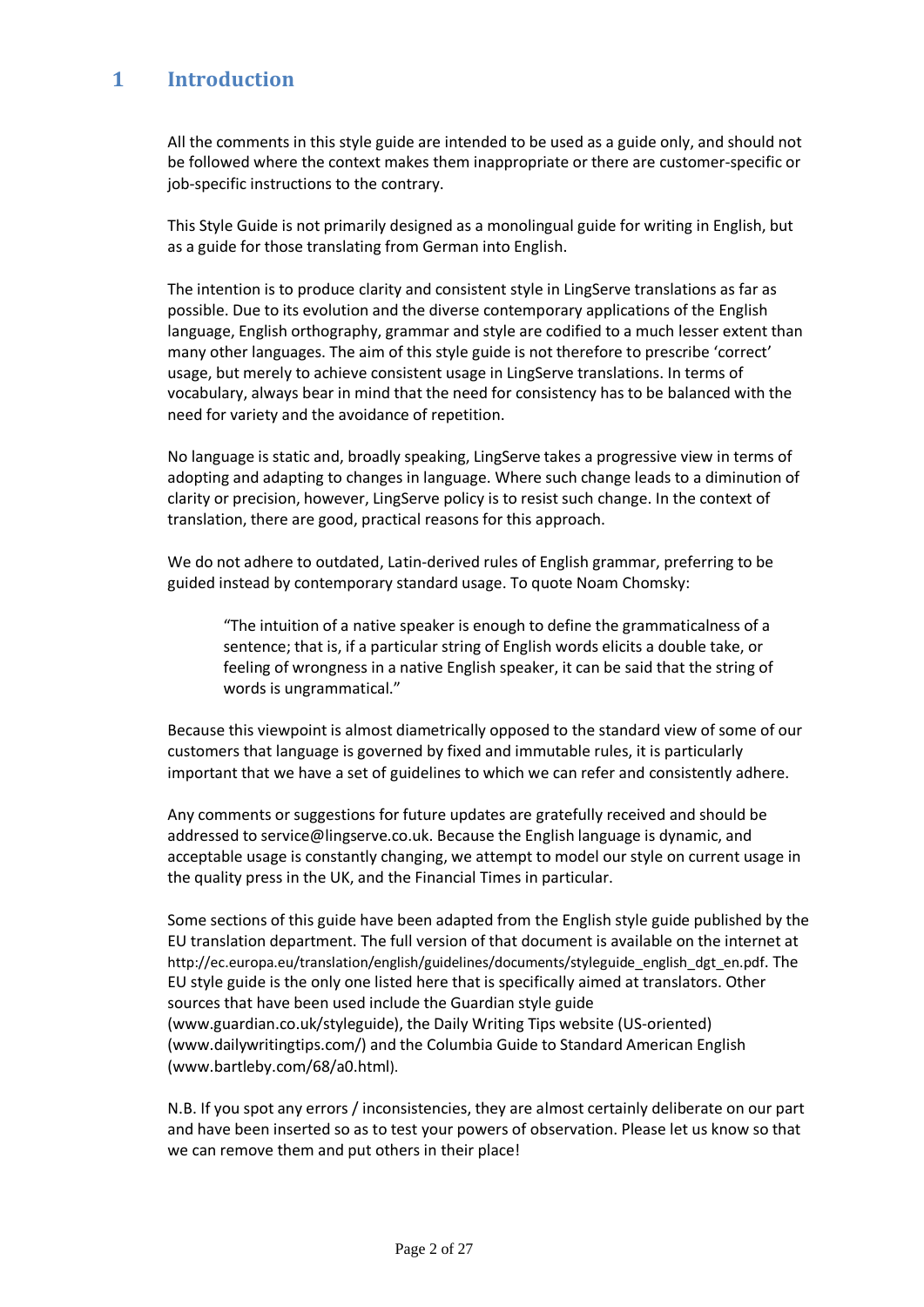# **1 Introduction**

All the comments in this style guide are intended to be used as a guide only, and should not be followed where the context makes them inappropriate or there are customer-specific or job-specific instructions to the contrary.

This Style Guide is not primarily designed as a monolingual guide for writing in English, but as a guide for those translating from German into English.

The intention is to produce clarity and consistent style in LingServe translations as far as possible. Due to its evolution and the diverse contemporary applications of the English language, English orthography, grammar and style are codified to a much lesser extent than many other languages. The aim of this style guide is not therefore to prescribe 'correct' usage, but merely to achieve consistent usage in LingServe translations. In terms of vocabulary, always bear in mind that the need for consistency has to be balanced with the need for variety and the avoidance of repetition.

No language is static and, broadly speaking, LingServe takes a progressive view in terms of adopting and adapting to changes in language. Where such change leads to a diminution of clarity or precision, however, LingServe policy is to resist such change. In the context of translation, there are good, practical reasons for this approach.

We do not adhere to outdated, Latin-derived rules of English grammar, preferring to be guided instead by contemporary standard usage. To quote Noam Chomsky:

"The intuition of a native speaker is enough to define the grammaticalness of a sentence; that is, if a particular string of English words elicits a double take, or feeling of wrongness in a native English speaker, it can be said that the string of words is ungrammatical."

Because this viewpoint is almost diametrically opposed to the standard view of some of our customers that language is governed by fixed and immutable rules, it is particularly important that we have a set of guidelines to which we can refer and consistently adhere.

Any comments or suggestions for future updates are gratefully received and should be addressed to service@lingserve.co.uk. Because the English language is dynamic, and acceptable usage is constantly changing, we attempt to model our style on current usage in the quality press in the UK, and the Financial Times in particular.

Some sections of this guide have been adapted from the English style guide published by the EU translation department. The full version of that document is available on the internet at http://ec.europa.eu/translation/english/guidelines/documents/styleguide\_english\_dgt\_en.pdf. The EU style guide is the only one listed here that is specifically aimed at translators. Other sources that have been used include the Guardian style guide (www.guardian.co.uk/styleguide), the Daily Writing Tips website (US-oriented) (www.dailywritingtips.com/) and the Columbia Guide to Standard American English (www.bartleby.com/68/a0.html).

N.B. If you spot any errors / inconsistencies, they are almost certainly deliberate on our part and have been inserted so as to test your powers of observation. Please let us know so that we can remove them and put others in their place!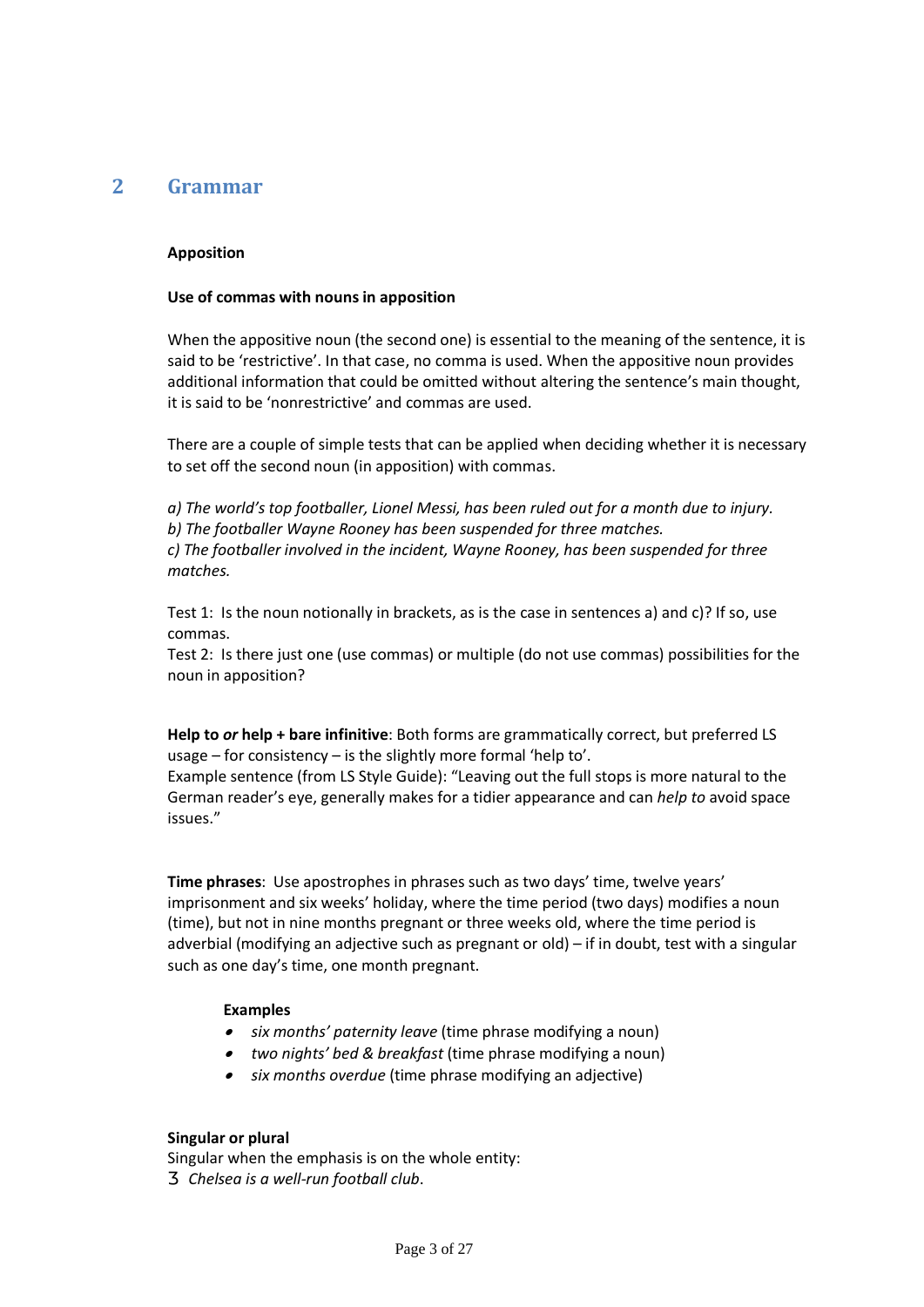## **2 Grammar**

#### **Apposition**

#### **Use of commas with nouns in apposition**

When the appositive noun (the second one) is essential to the meaning of the sentence, it is said to be 'restrictive'. In that case, no comma is used. When the appositive noun provides additional information that could be omitted without altering the sentence's main thought, it is said to be 'nonrestrictive' and commas are used.

There are a couple of simple tests that can be applied when deciding whether it is necessary to set off the second noun (in apposition) with commas.

*a) The world's top footballer, Lionel Messi, has been ruled out for a month due to injury. b) The footballer Wayne Rooney has been suspended for three matches. c) The footballer involved in the incident, Wayne Rooney, has been suspended for three matches.*

Test 1: Is the noun notionally in brackets, as is the case in sentences a) and c)? If so, use commas.

Test 2: Is there just one (use commas) or multiple (do not use commas) possibilities for the noun in apposition?

**Help to** *or* **help + bare infinitive**: Both forms are grammatically correct, but preferred LS usage – for consistency – is the slightly more formal 'help to'.

Example sentence (from LS Style Guide): "Leaving out the full stops is more natural to the German reader's eye, generally makes for a tidier appearance and can *help to* avoid space issues."

**Time phrases**: Use apostrophes in phrases such as two days' time, twelve years' imprisonment and six weeks' holiday, where the time period (two days) modifies a noun (time), but not in nine months pregnant or three weeks old, where the time period is adverbial (modifying an adjective such as pregnant or old) – if in doubt, test with a singular such as one day's time, one month pregnant.

#### **Examples**

- · *six months' paternity leave* (time phrase modifying a noun)
- · *two nights' bed & breakfast* (time phrase modifying a noun)
- ·*six months overdue* (time phrase modifying an adjective)

#### **Singular or plural**

Singular when the emphasis is on the whole entity: *Chelsea is a well-run football club*.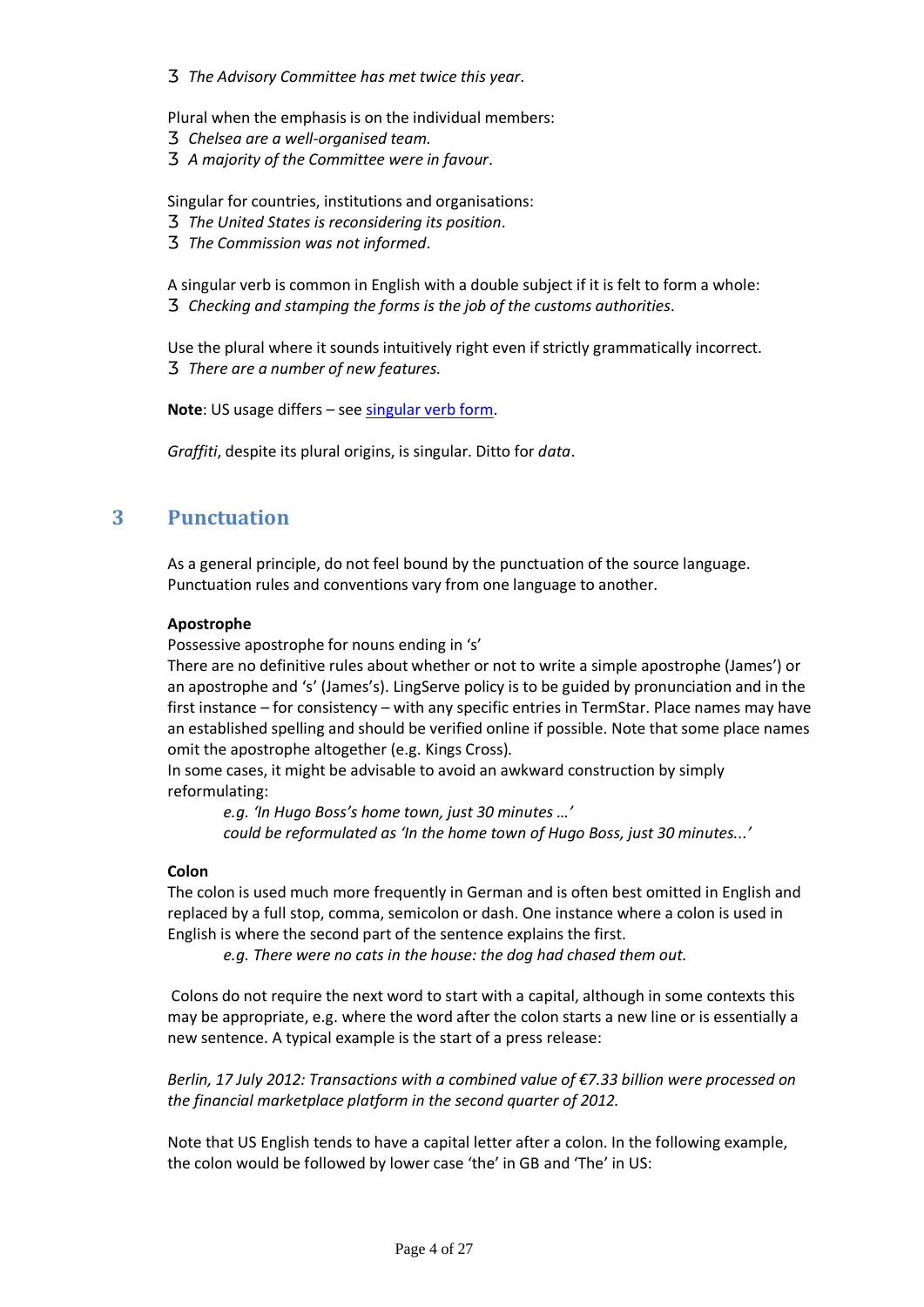*The Advisory Committee has met twice this year*.

- Plural when the emphasis is on the individual members: *Chelsea are a well-organised team. A majority of the Committee were in favour*.
- Singular for countries, institutions and organisations: *The United States is reconsidering its position*. *The Commission was not informed*.
- A singular verb is common in English with a double subject if it is felt to form a whole: *Checking and stamping the forms is the job of the customs authorities*.
- Use the plural where it sounds intuitively right even if strictly grammatically incorrect. *There are a number of new features.*

**Note**: US usage differs – see singular verb form.

*Graffiti*, despite its plural origins, is singular. Ditto for *data*.

## **3 Punctuation**

As a general principle, do not feel bound by the punctuation of the source language. Punctuation rules and conventions vary from one language to another.

#### **Apostrophe**

Possessive apostrophe for nouns ending in 's'

There are no definitive rules about whether or not to write a simple apostrophe (James') or an apostrophe and 's' (James's). LingServe policy is to be guided by pronunciation and in the first instance – for consistency – with any specific entries in TermStar. Place names may have an established spelling and should be verified online if possible. Note that some place names omit the apostrophe altogether (e.g. Kings Cross).

In some cases, it might be advisable to avoid an awkward construction by simply reformulating:

*e.g. 'In Hugo Boss's home town, just 30 minutes …' could be reformulated as 'In the home town of Hugo Boss, just 30 minutes...'*

#### **Colon**

The colon is used much more frequently in German and is often best omitted in English and replaced by a full stop, comma, semicolon or dash. One instance where a colon is used in English is where the second part of the sentence explains the first.

*e.g. There were no cats in the house: the dog had chased them out.* 

Colons do not require the next word to start with a capital, although in some contexts this may be appropriate, e.g. where the word after the colon starts a new line or is essentially a new sentence. A typical example is the start of a press release:

*Berlin, 17 July 2012: Transactions with a combined value of €7.33 billion were processed on the financial marketplace platform in the second quarter of 2012.* 

Note that US English tends to have a capital letter after a colon. In the following example, the colon would be followed by lower case 'the' in GB and 'The' in US: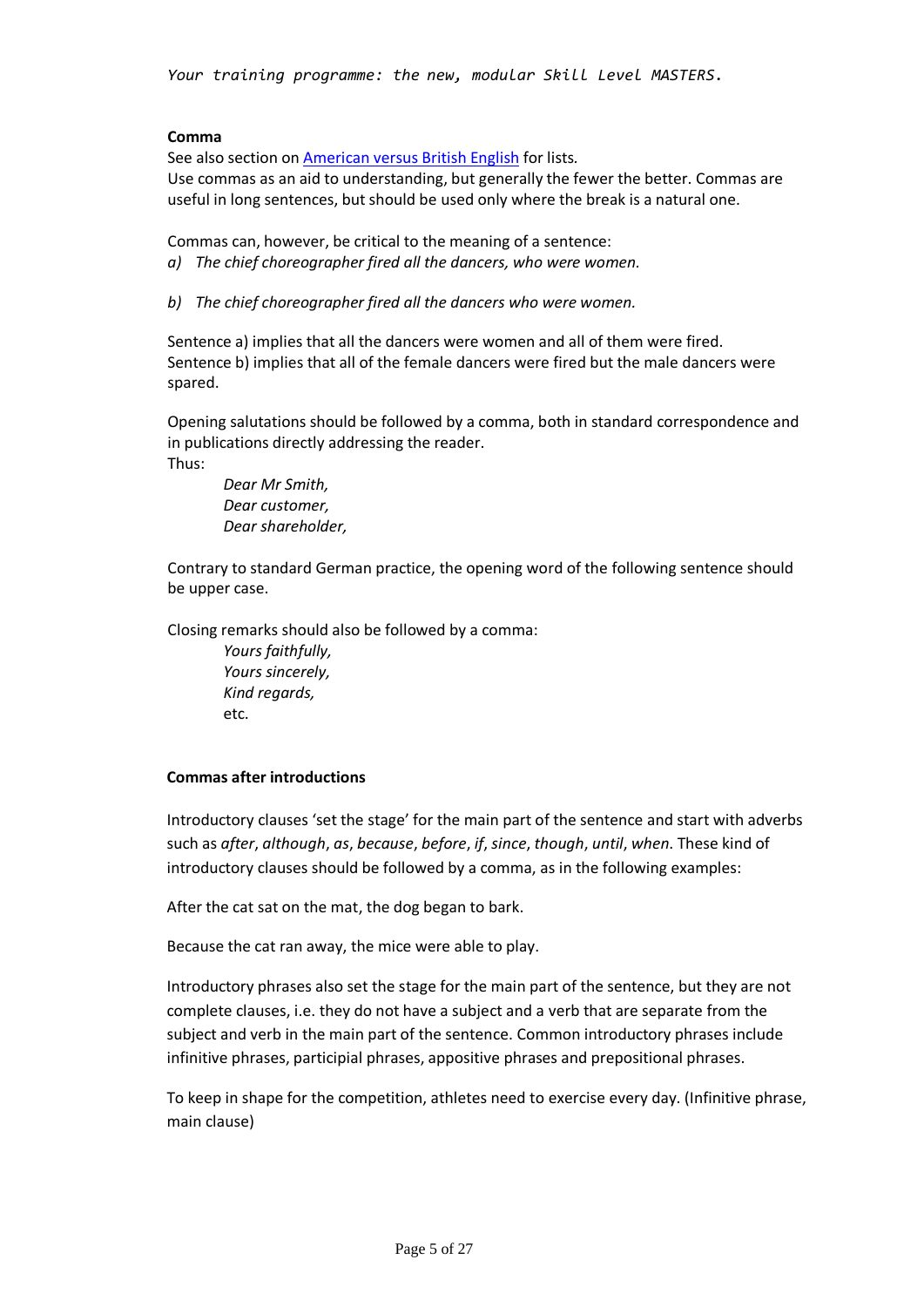#### **Comma**

See also section on American versus British English for lists*.* Use commas as an aid to understanding, but generally the fewer the better. Commas are useful in long sentences, but should be used only where the break is a natural one.

Commas can, however, be critical to the meaning of a sentence:

- *a) The chief choreographer fired all the dancers, who were women.*
- *b) The chief choreographer fired all the dancers who were women.*

Sentence a) implies that all the dancers were women and all of them were fired. Sentence b) implies that all of the female dancers were fired but the male dancers were spared.

Opening salutations should be followed by a comma, both in standard correspondence and in publications directly addressing the reader. Thus:

*Dear Mr Smith, Dear customer, Dear shareholder,*

Contrary to standard German practice, the opening word of the following sentence should be upper case.

Closing remarks should also be followed by a comma:

*Yours faithfully, Yours sincerely, Kind regards,*  etc.

#### **Commas after introductions**

Introductory clauses 'set the stage' for the main part of the sentence and start with adverbs such as *after*, *although*, *as*, *because*, *before*, *if*, *since*, *though*, *until*, *when*. These kind of introductory clauses should be followed by a comma, as in the following examples:

After the cat sat on the mat, the dog began to bark.

Because the cat ran away, the mice were able to play.

Introductory phrases also set the stage for the main part of the sentence, but they are not complete clauses, i.e. they do not have a subject and a verb that are separate from the subject and verb in the main part of the sentence. Common introductory phrases include infinitive phrases, participial phrases, appositive phrases and prepositional phrases.

To keep in shape for the competition, athletes need to exercise every day. (Infinitive phrase, main clause)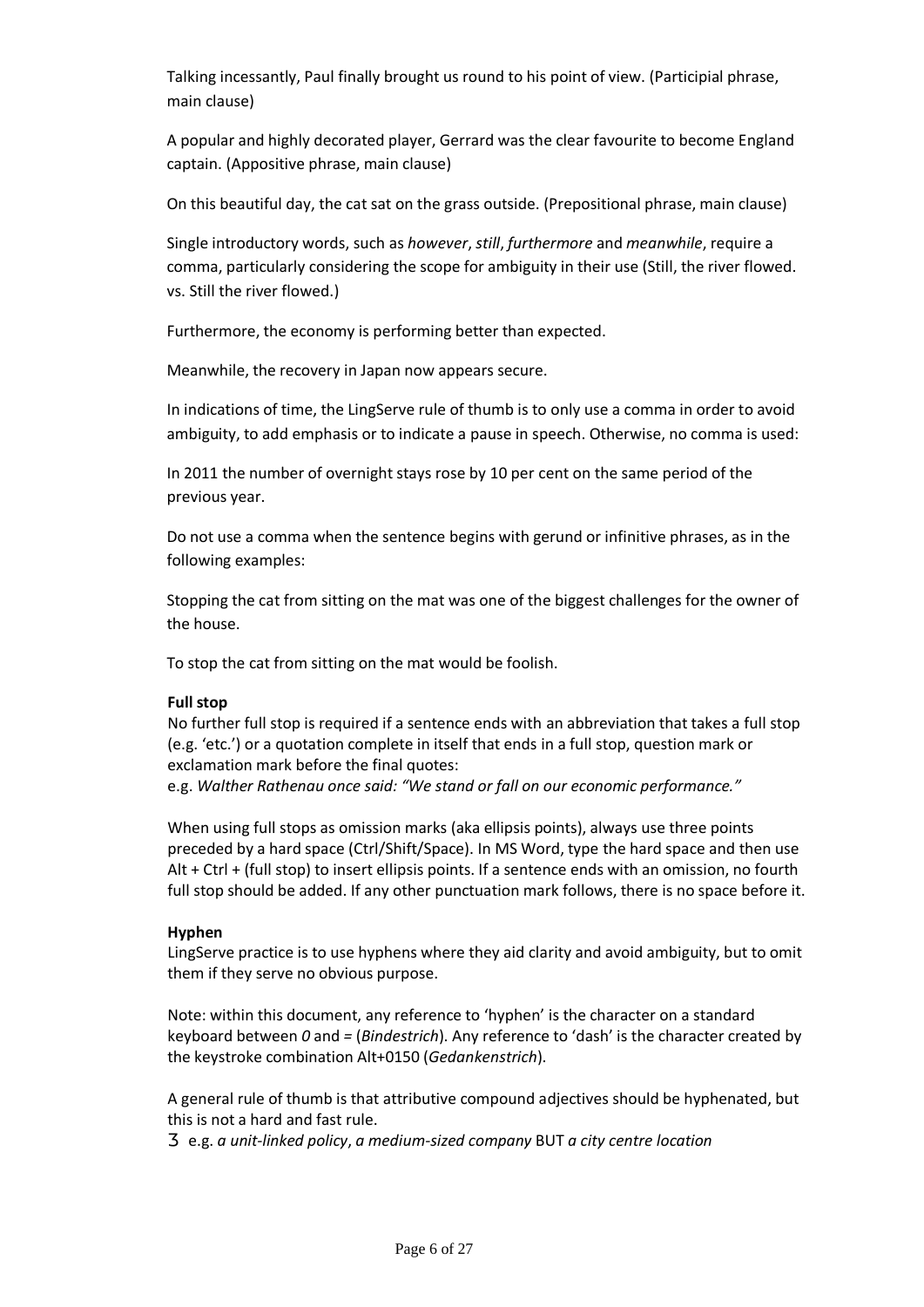Talking incessantly, Paul finally brought us round to his point of view. (Participial phrase, main clause)

A popular and highly decorated player, Gerrard was the clear favourite to become England captain. (Appositive phrase, main clause)

On this beautiful day, the cat sat on the grass outside. (Prepositional phrase, main clause)

Single introductory words, such as *however*, *still*, *furthermore* and *meanwhile*, require a comma, particularly considering the scope for ambiguity in their use (Still, the river flowed. vs. Still the river flowed.)

Furthermore, the economy is performing better than expected.

Meanwhile, the recovery in Japan now appears secure.

In indications of time, the LingServe rule of thumb is to only use a comma in order to avoid ambiguity, to add emphasis or to indicate a pause in speech. Otherwise, no comma is used:

In 2011 the number of overnight stays rose by 10 per cent on the same period of the previous year.

Do not use a comma when the sentence begins with gerund or infinitive phrases, as in the following examples:

Stopping the cat from sitting on the mat was one of the biggest challenges for the owner of the house.

To stop the cat from sitting on the mat would be foolish.

#### **Full stop**

No further full stop is required if a sentence ends with an abbreviation that takes a full stop (e.g. 'etc.') or a quotation complete in itself that ends in a full stop, question mark or exclamation mark before the final quotes: e.g. *Walther Rathenau once said: "We stand or fall on our economic performance."*

When using full stops as omission marks (aka ellipsis points), always use three points preceded by a hard space (Ctrl/Shift/Space). In MS Word, type the hard space and then use Alt + Ctrl + (full stop) to insert ellipsis points. If a sentence ends with an omission, no fourth full stop should be added. If any other punctuation mark follows, there is no space before it.

#### **Hyphen**

LingServe practice is to use hyphens where they aid clarity and avoid ambiguity, but to omit them if they serve no obvious purpose.

Note: within this document, any reference to 'hyphen' is the character on a standard keyboard between *0* and *=* (*Bindestrich*). Any reference to 'dash' is the character created by the keystroke combination Alt+0150 (*Gedankenstrich*).

A general rule of thumb is that attributive compound adjectives should be hyphenated, but this is not a hard and fast rule.

e.g. *a unit-linked policy*, *a medium-sized company* BUT *a city centre location*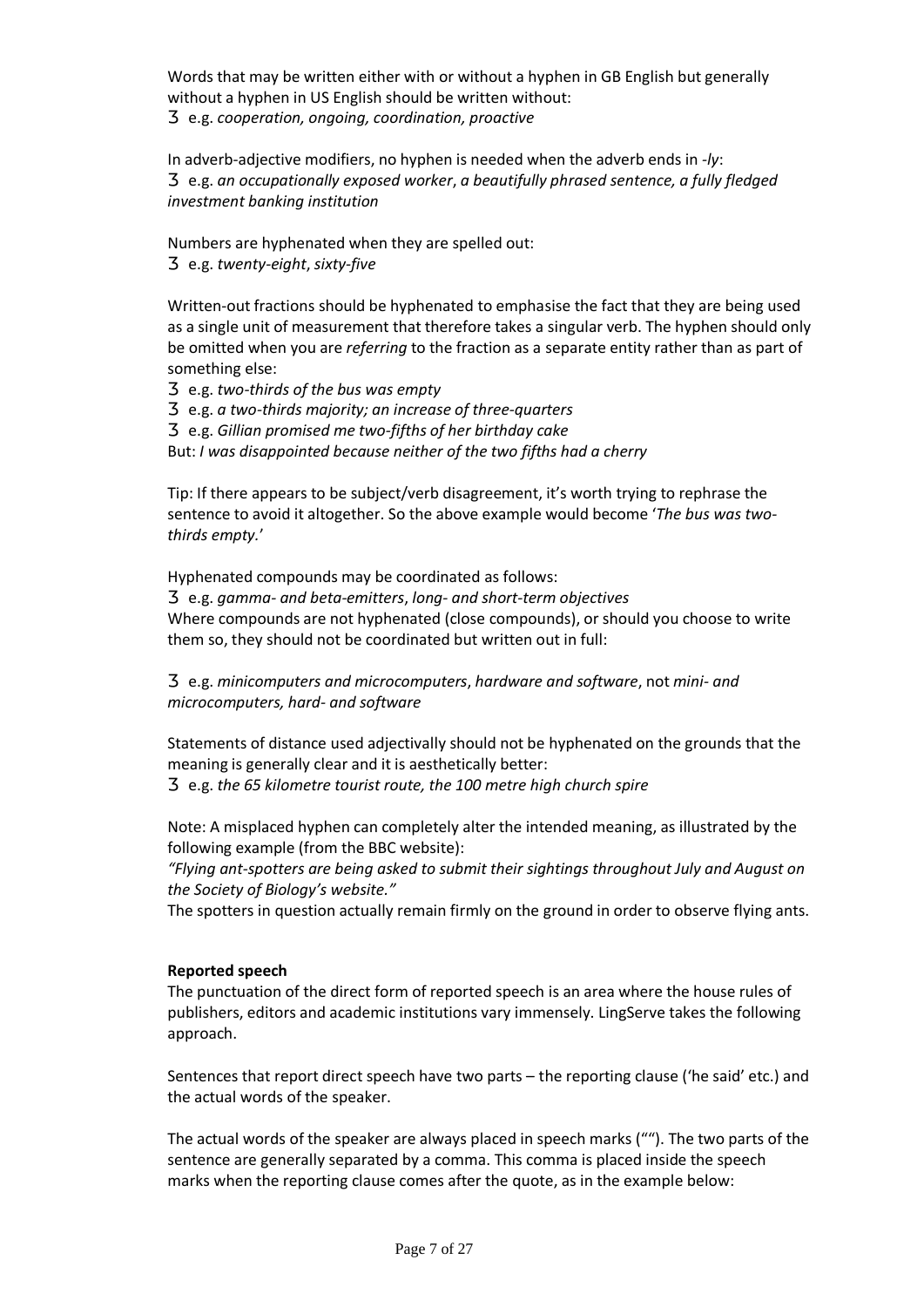Words that may be written either with or without a hyphen in GB English but generally without a hyphen in US English should be written without:

e.g. *cooperation, ongoing, coordination, proactive*

In adverb-adjective modifiers, no hyphen is needed when the adverb ends in *-ly*: e.g. *an occupationally exposed worker*, *a beautifully phrased sentence, a fully fledged* 

*investment banking institution*

Numbers are hyphenated when they are spelled out:

e.g. *twenty-eight*, *sixty-five*

Written-out fractions should be hyphenated to emphasise the fact that they are being used as a single unit of measurement that therefore takes a singular verb. The hyphen should only be omitted when you are *referring* to the fraction as a separate entity rather than as part of something else:

e.g. *two-thirds of the bus was empty*

e.g. *a two-thirds majority; an increase of three-quarters*

e.g. *Gillian promised me two-fifths of her birthday cake*

But: *I was disappointed because neither of the two fifths had a cherry*

Tip: If there appears to be subject/verb disagreement, it's worth trying to rephrase the sentence to avoid it altogether. So the above example would become '*The bus was twothirds empty.*'

Hyphenated compounds may be coordinated as follows:

e.g. *gamma- and beta-emitters*, *long- and short-term objectives* Where compounds are not hyphenated (close compounds), or should you choose to write them so, they should not be coordinated but written out in full:

e.g. *minicomputers and microcomputers*, *hardware and software*, not *mini- and microcomputers, hard- and software*

Statements of distance used adjectivally should not be hyphenated on the grounds that the meaning is generally clear and it is aesthetically better:

e.g. *the 65 kilometre tourist route, the 100 metre high church spire* 

Note: A misplaced hyphen can completely alter the intended meaning, as illustrated by the following example (from the BBC website):

*"Flying ant-spotters are being asked to submit their sightings throughout July and August on the Society of Biology's website."*

The spotters in question actually remain firmly on the ground in order to observe flying ants.

#### **Reported speech**

The punctuation of the direct form of reported speech is an area where the house rules of publishers, editors and academic institutions vary immensely. LingServe takes the following approach.

Sentences that report direct speech have two parts – the reporting clause ('he said' etc.) and the actual words of the speaker.

The actual words of the speaker are always placed in speech marks (""). The two parts of the sentence are generally separated by a comma. This comma is placed inside the speech marks when the reporting clause comes after the quote, as in the example below: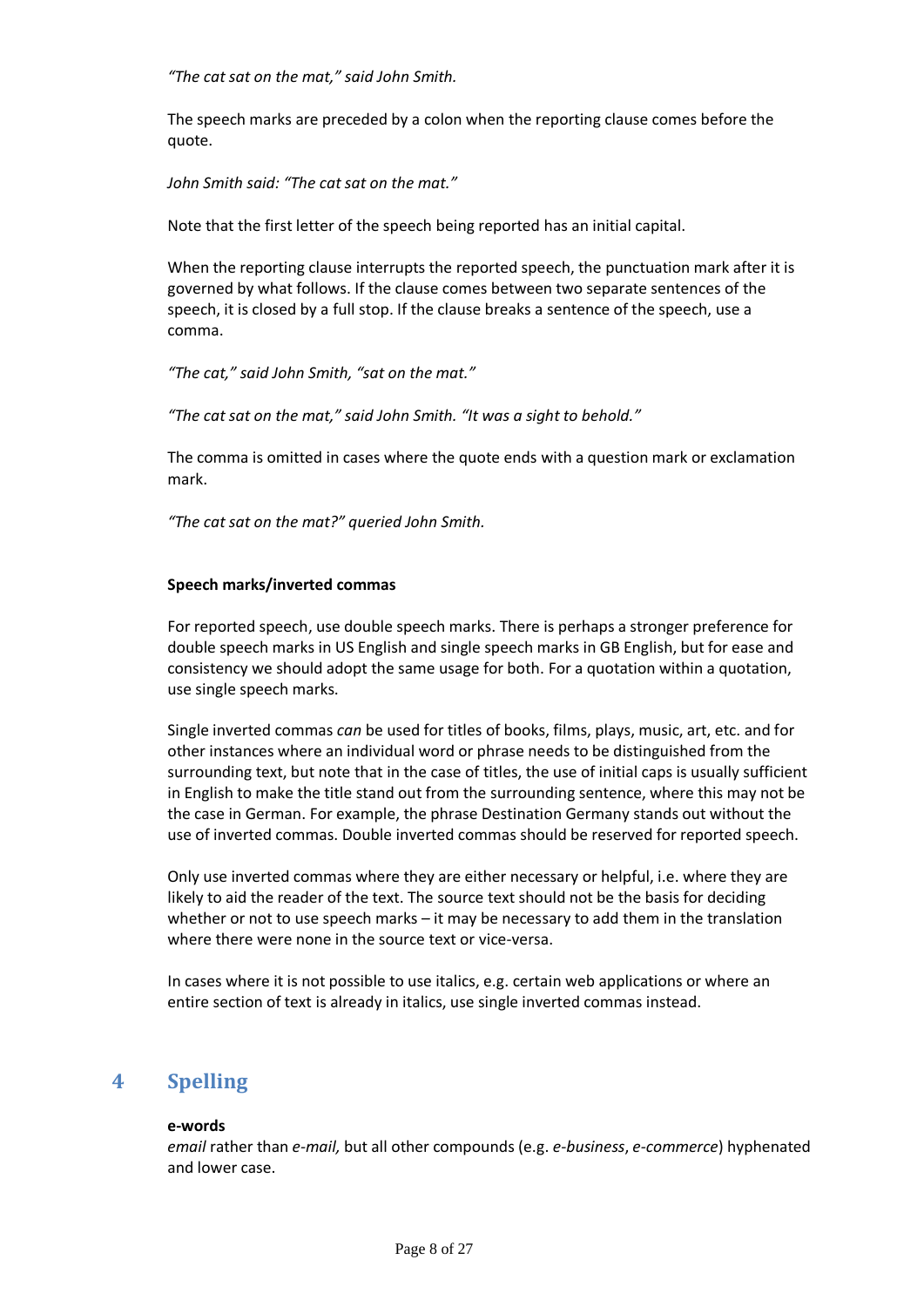*"The cat sat on the mat," said John Smith.*

The speech marks are preceded by a colon when the reporting clause comes before the quote.

*John Smith said: "The cat sat on the mat."*

Note that the first letter of the speech being reported has an initial capital.

When the reporting clause interrupts the reported speech, the punctuation mark after it is governed by what follows. If the clause comes between two separate sentences of the speech, it is closed by a full stop. If the clause breaks a sentence of the speech, use a comma.

*"The cat," said John Smith, "sat on the mat."*

*"The cat sat on the mat," said John Smith. "It was a sight to behold."*

The comma is omitted in cases where the quote ends with a question mark or exclamation mark.

*"The cat sat on the mat?" queried John Smith.*

#### **Speech marks/inverted commas**

For reported speech, use double speech marks. There is perhaps a stronger preference for double speech marks in US English and single speech marks in GB English, but for ease and consistency we should adopt the same usage for both. For a quotation within a quotation, use single speech marks.

Single inverted commas *can* be used for titles of books, films, plays, music, art, etc. and for other instances where an individual word or phrase needs to be distinguished from the surrounding text, but note that in the case of titles, the use of initial caps is usually sufficient in English to make the title stand out from the surrounding sentence, where this may not be the case in German. For example, the phrase Destination Germany stands out without the use of inverted commas. Double inverted commas should be reserved for reported speech.

Only use inverted commas where they are either necessary or helpful, i.e. where they are likely to aid the reader of the text. The source text should not be the basis for deciding whether or not to use speech marks – it may be necessary to add them in the translation where there were none in the source text or vice-versa.

In cases where it is not possible to use italics, e.g. certain web applications or where an entire section of text is already in italics, use single inverted commas instead.

## **4 Spelling**

#### **e-words**

*email* rather than *e-mail,* but all other compounds (e.g. *e-business*, *e-commerce*) hyphenated and lower case.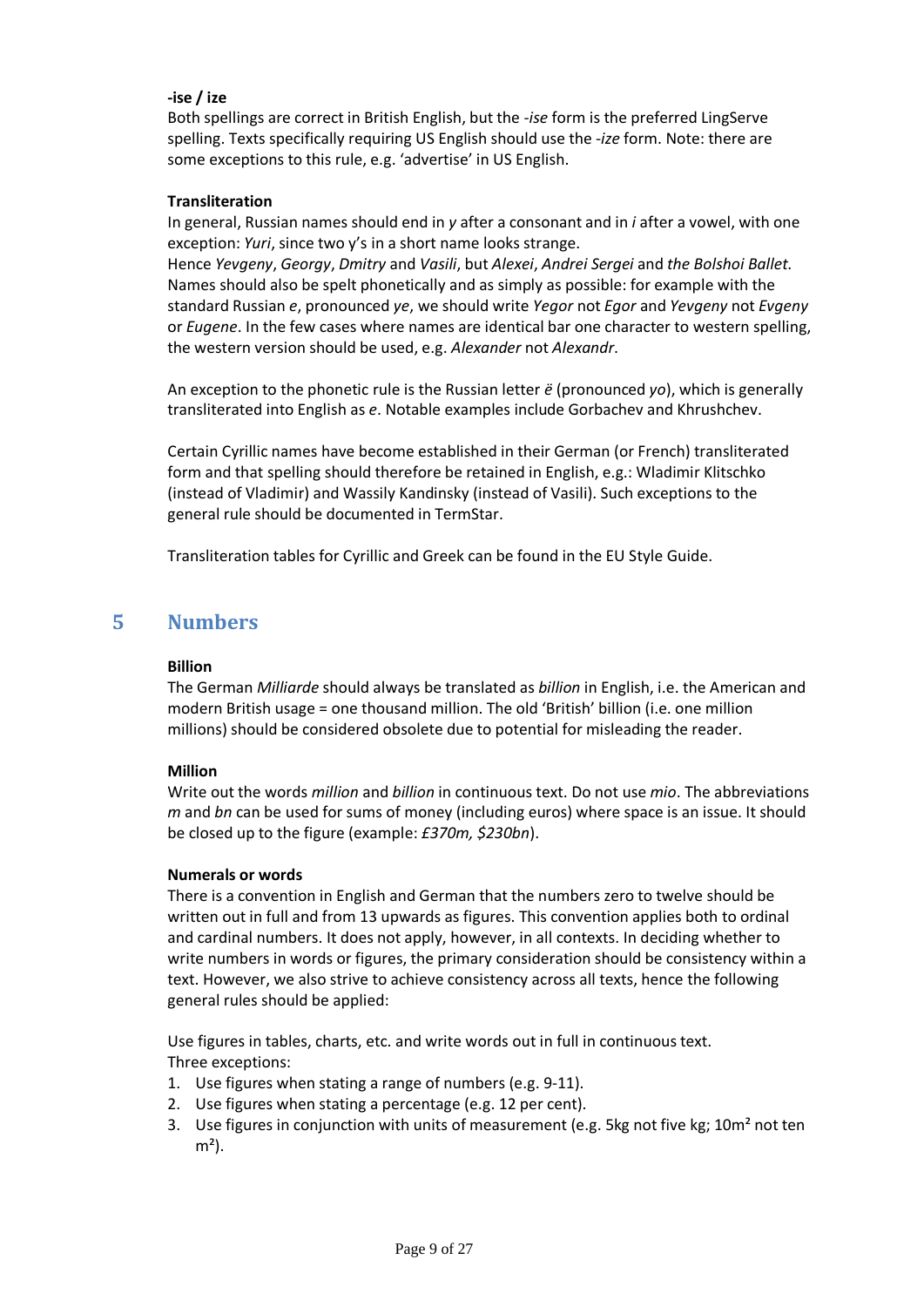#### **-ise / ize**

Both spellings are correct in British English, but the *-ise* form is the preferred LingServe spelling. Texts specifically requiring US English should use the *-ize* form. Note: there are some exceptions to this rule, e.g. 'advertise' in US English.

#### **Transliteration**

In general, Russian names should end in *y* after a consonant and in *i* after a vowel, with one exception: *Yuri*, since two y's in a short name looks strange.

Hence *Yevgeny*, *Georgy*, *Dmitry* and *Vasili*, but *Alexei*, *Andrei Sergei* and *the Bolshoi Ballet*. Names should also be spelt phonetically and as simply as possible: for example with the standard Russian *e*, pronounced *ye*, we should write *Yegor* not *Egor* and *Yevgeny* not *Evgeny*  or *Eugene*. In the few cases where names are identical bar one character to western spelling, the western version should be used, e.g. *Alexander* not *Alexandr*.

An exception to the phonetic rule is the Russian letter *ё* (pronounced *yo*), which is generally transliterated into English as *e*. Notable examples include Gorbachev and Khrushchev.

Certain Cyrillic names have become established in their German (or French) transliterated form and that spelling should therefore be retained in English, e.g.: Wladimir Klitschko (instead of Vladimir) and Wassily Kandinsky (instead of Vasili). Such exceptions to the general rule should be documented in TermStar.

Transliteration tables for Cyrillic and Greek can be found in the EU Style Guide.

## **5 Numbers**

#### **Billion**

The German *Milliarde* should always be translated as *billion* in English, i.e. the American and modern British usage = one thousand million. The old 'British' billion (i.e. one million millions) should be considered obsolete due to potential for misleading the reader.

#### **Million**

Write out the words *million* and *billion* in continuous text. Do not use *mio*. The abbreviations *m* and *bn* can be used for sums of money (including euros) where space is an issue. It should be closed up to the figure (example: *£370m, \$230bn*).

#### **Numerals or words**

There is a convention in English and German that the numbers zero to twelve should be written out in full and from 13 upwards as figures. This convention applies both to ordinal and cardinal numbers. It does not apply, however, in all contexts. In deciding whether to write numbers in words or figures, the primary consideration should be consistency within a text. However, we also strive to achieve consistency across all texts, hence the following general rules should be applied:

Use figures in tables, charts, etc. and write words out in full in continuous text. Three exceptions:

- 1. Use figures when stating a range of numbers (e.g. 9-11).
- 2. Use figures when stating a percentage (e.g. 12 per cent).
- 3. Use figures in conjunction with units of measurement (e.g. 5kg not five kg; 10m<sup>2</sup> not ten  $m<sup>2</sup>$ ).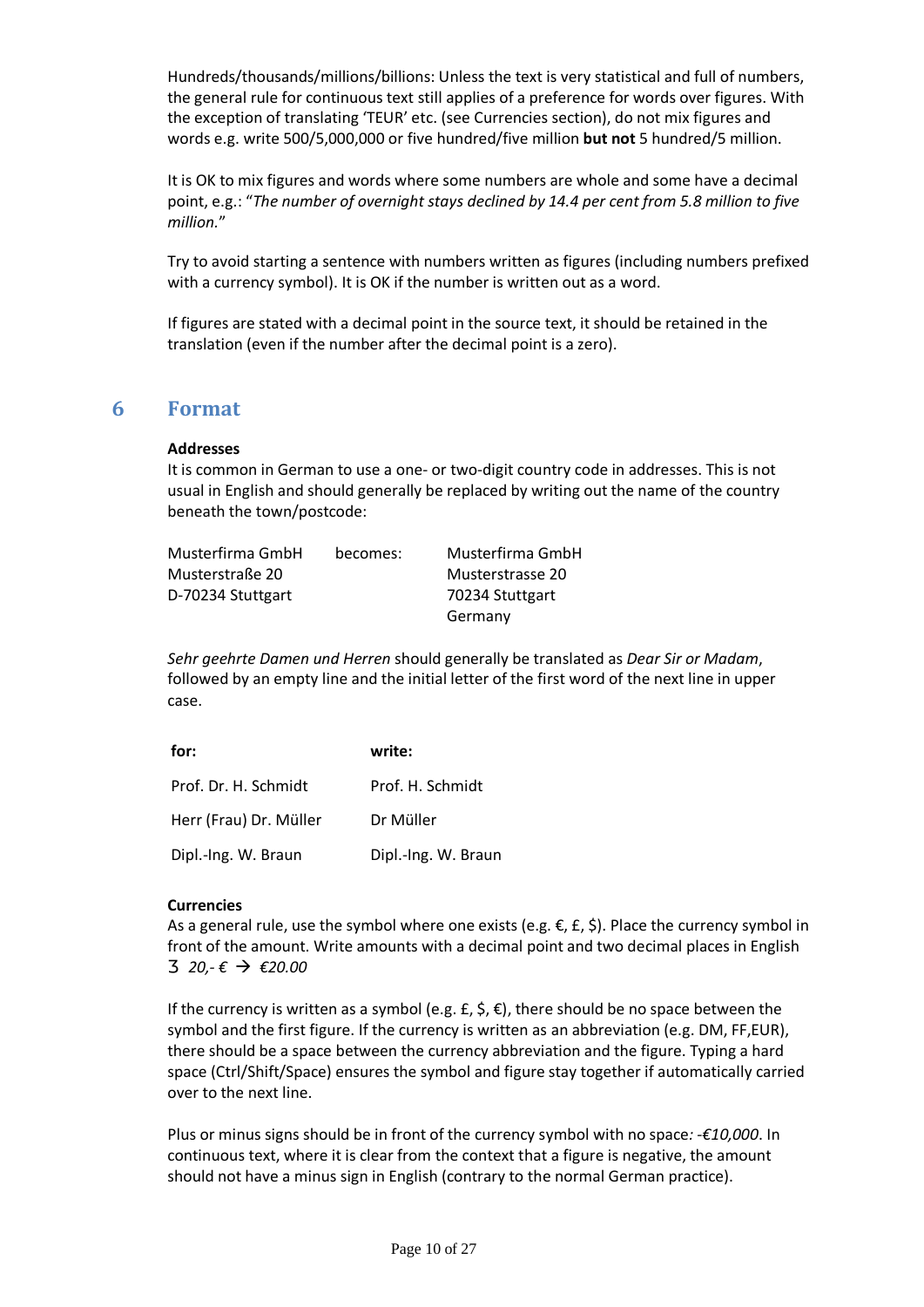Hundreds/thousands/millions/billions: Unless the text is very statistical and full of numbers, the general rule for continuous text still applies of a preference for words over figures. With the exception of translating 'TEUR' etc. (see Currencies section), do not mix figures and words e.g. write 500/5,000,000 or five hundred/five million **but not** 5 hundred/5 million.

It is OK to mix figures and words where some numbers are whole and some have a decimal point, e.g.: "*The number of overnight stays declined by 14.4 per cent from 5.8 million to five million.*"

Try to avoid starting a sentence with numbers written as figures (including numbers prefixed with a currency symbol). It is OK if the number is written out as a word.

If figures are stated with a decimal point in the source text, it should be retained in the translation (even if the number after the decimal point is a zero).

## **6 Format**

#### **Addresses**

It is common in German to use a one- or two-digit country code in addresses. This is not usual in English and should generally be replaced by writing out the name of the country beneath the town/postcode:

| Musterfirma GmbH  | becomes: | Musterfirma GmbH |
|-------------------|----------|------------------|
| Musterstraße 20   |          | Musterstrasse 20 |
| D-70234 Stuttgart |          | 70234 Stuttgart  |
|                   |          | Germany          |

*Sehr geehrte Damen und Herren* should generally be translated as *Dear Sir or Madam*, followed by an empty line and the initial letter of the first word of the next line in upper case.

| for:                   | write:              |
|------------------------|---------------------|
| Prof. Dr. H. Schmidt   | Prof. H. Schmidt    |
| Herr (Frau) Dr. Müller | Dr Müller           |
| Dipl.-Ing. W. Braun    | Dipl.-Ing. W. Braun |

#### **Currencies**

As a general rule, use the symbol where one exists (e.g.  $\epsilon$ ,  $\epsilon$ ,  $\epsilon$ ). Place the currency symbol in front of the amount. Write amounts with a decimal point and two decimal places in English *20,- €* ‡ *€20.00*

If the currency is written as a symbol (e.g.  $f$ ,  $\zeta$ ,  $f$ ), there should be no space between the symbol and the first figure. If the currency is written as an abbreviation (e.g. DM, FF,EUR), there should be a space between the currency abbreviation and the figure. Typing a hard space (Ctrl/Shift/Space) ensures the symbol and figure stay together if automatically carried over to the next line.

Plus or minus signs should be in front of the currency symbol with no space*: -€10,000*. In continuous text, where it is clear from the context that a figure is negative, the amount should not have a minus sign in English (contrary to the normal German practice).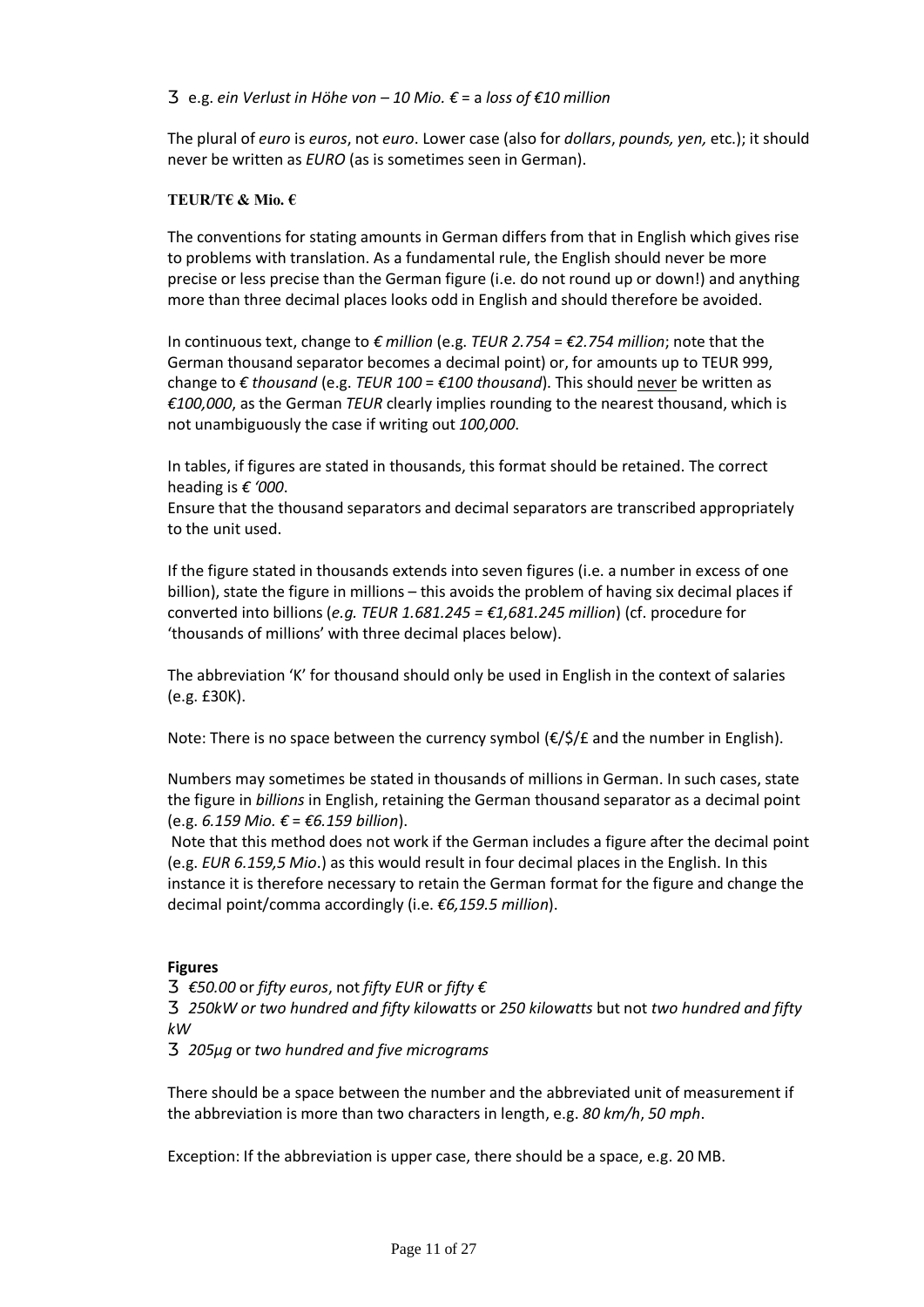e.g. *ein Verlust in Höhe von – 10 Mio. €* = a *loss of €10 million*

The plural of *euro* is *euros*, not *euro*. Lower case (also for *dollars*, *pounds, yen,* etc.); it should never be written as *EURO* (as is sometimes seen in German).

#### **TEUR/T€ & Mio. €**

The conventions for stating amounts in German differs from that in English which gives rise to problems with translation. As a fundamental rule, the English should never be more precise or less precise than the German figure (i.e. do not round up or down!) and anything more than three decimal places looks odd in English and should therefore be avoided.

In continuous text, change to *€ million* (e.g. *TEUR 2.754* = *€2.754 million*; note that the German thousand separator becomes a decimal point) or, for amounts up to TEUR 999, change to *€ thousand* (e.g. *TEUR 100* = *€100 thousand*). This should never be written as *€100,000*, as the German *TEUR* clearly implies rounding to the nearest thousand, which is not unambiguously the case if writing out *100,000*.

In tables, if figures are stated in thousands, this format should be retained. The correct heading is *€ '000*.

Ensure that the thousand separators and decimal separators are transcribed appropriately to the unit used.

If the figure stated in thousands extends into seven figures (i.e. a number in excess of one billion), state the figure in millions – this avoids the problem of having six decimal places if converted into billions (*e.g. TEUR 1.681.245 = €1,681.245 million*) (cf. procedure for 'thousands of millions' with three decimal places below).

The abbreviation 'K' for thousand should only be used in English in the context of salaries (e.g. £30K).

Note: There is no space between the currency symbol  $(\epsilon/\xi) f$  and the number in English).

Numbers may sometimes be stated in thousands of millions in German. In such cases, state the figure in *billions* in English, retaining the German thousand separator as a decimal point (e.g. *6.159 Mio. €* = *€6.159 billion*).

Note that this method does not work if the German includes a figure after the decimal point (e.g. *EUR 6.159,5 Mio*.) as this would result in four decimal places in the English. In this instance it is therefore necessary to retain the German format for the figure and change the decimal point/comma accordingly (i.e. *€6,159.5 million*).

#### **Figures**

*€50.00* or *fifty euros*, not *fifty EUR* or *fifty €*

*250kW or two hundred and fifty kilowatts* or *250 kilowatts* but not *two hundred and fifty kW*

*205µg* or *two hundred and five micrograms*

There should be a space between the number and the abbreviated unit of measurement if the abbreviation is more than two characters in length, e.g. *80 km/h*, *50 mph*.

Exception: If the abbreviation is upper case, there should be a space, e.g. 20 MB.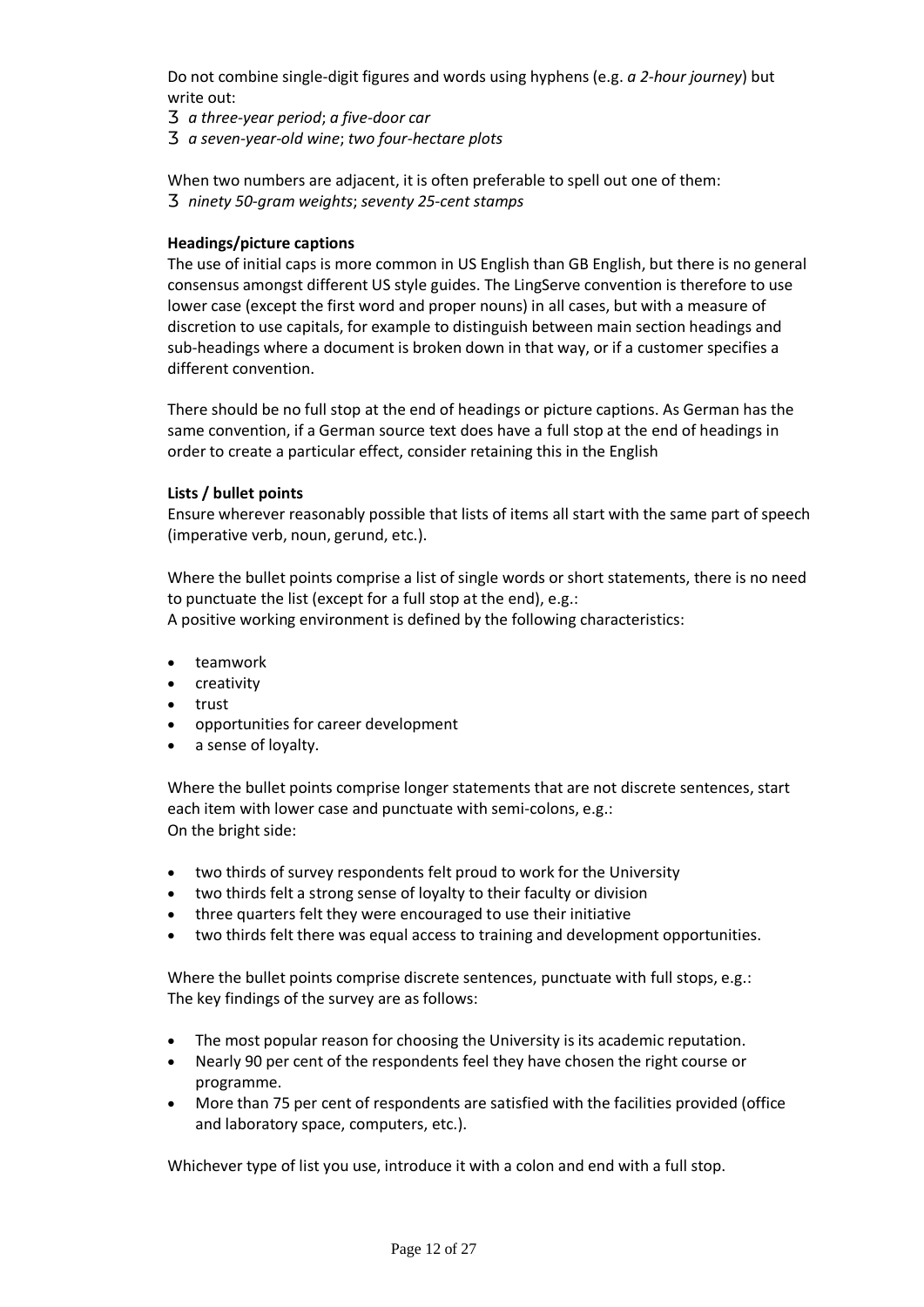Do not combine single-digit figures and words using hyphens (e.g. *a 2-hour journey*) but write out:

*a three-year period*; *a five-door car a seven-year-old wine*; *two four-hectare plots*

When two numbers are adjacent, it is often preferable to spell out one of them: *ninety 50-gram weights*; *seventy 25-cent stamps*

#### **Headings/picture captions**

The use of initial caps is more common in US English than GB English, but there is no general consensus amongst different US style guides. The LingServe convention is therefore to use lower case (except the first word and proper nouns) in all cases, but with a measure of discretion to use capitals, for example to distinguish between main section headings and sub-headings where a document is broken down in that way, or if a customer specifies a different convention.

There should be no full stop at the end of headings or picture captions. As German has the same convention, if a German source text does have a full stop at the end of headings in order to create a particular effect, consider retaining this in the English

#### **Lists / bullet points**

Ensure wherever reasonably possible that lists of items all start with the same part of speech (imperative verb, noun, gerund, etc.).

Where the bullet points comprise a list of single words or short statements, there is no need to punctuate the list (except for a full stop at the end), e.g.: A positive working environment is defined by the following characteristics:

- · teamwork
- · creativity
- · trust
- · opportunities for career development
- · a sense of loyalty.

Where the bullet points comprise longer statements that are not discrete sentences, start each item with lower case and punctuate with semi-colons, e.g.: On the bright side:

- two thirds of survey respondents felt proud to work for the University
- · two thirds felt a strong sense of loyalty to their faculty or division
- · three quarters felt they were encouraged to use their initiative
- two thirds felt there was equal access to training and development opportunities.

Where the bullet points comprise discrete sentences, punctuate with full stops, e.g.: The key findings of the survey are as follows:

- The most popular reason for choosing the University is its academic reputation.
- · Nearly 90 per cent of the respondents feel they have chosen the right course or programme.
- · More than 75 per cent of respondents are satisfied with the facilities provided (office and laboratory space, computers, etc.).

Whichever type of list you use, introduce it with a colon and end with a full stop.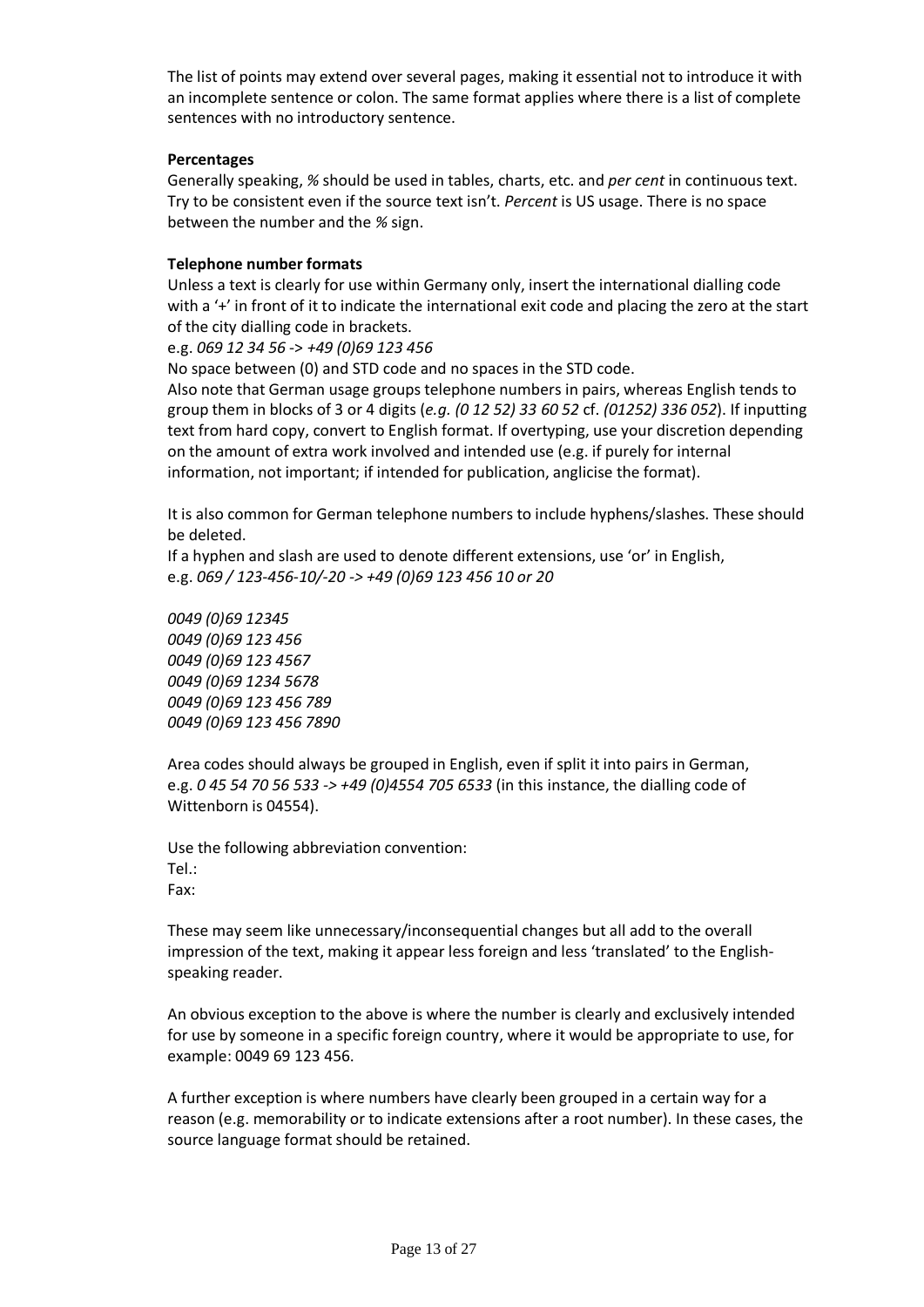The list of points may extend over several pages, making it essential not to introduce it with an incomplete sentence or colon. The same format applies where there is a list of complete sentences with no introductory sentence.

#### **Percentages**

Generally speaking, *%* should be used in tables, charts, etc. and *per cent* in continuous text. Try to be consistent even if the source text isn't. *Percent* is US usage. There is no space between the number and the *%* sign.

#### **Telephone number formats**

Unless a text is clearly for use within Germany only, insert the international dialling code with a '+' in front of it to indicate the international exit code and placing the zero at the start of the city dialling code in brackets.

e.g. *069 12 34 56* -> *+49 (0)69 123 456*

No space between (0) and STD code and no spaces in the STD code.

Also note that German usage groups telephone numbers in pairs, whereas English tends to group them in blocks of 3 or 4 digits (*e.g. (0 12 52) 33 60 52* cf. *(01252) 336 052*). If inputting text from hard copy, convert to English format. If overtyping, use your discretion depending on the amount of extra work involved and intended use (e.g. if purely for internal information, not important; if intended for publication, anglicise the format).

It is also common for German telephone numbers to include hyphens/slashes. These should be deleted.

If a hyphen and slash are used to denote different extensions, use 'or' in English, e.g. *069 / 123-456-10/-20 -> +49 (0)69 123 456 10 or 20*

*0049 (0)69 12345 0049 (0)69 123 456 0049 (0)69 123 4567 0049 (0)69 1234 5678 0049 (0)69 123 456 789 0049 (0)69 123 456 7890*

Area codes should always be grouped in English, even if split it into pairs in German, e.g. *0 45 54 70 56 533 -> +49 (0)4554 705 6533* (in this instance, the dialling code of Wittenborn is 04554).

Use the following abbreviation convention: Tel.: Fax:

These may seem like unnecessary/inconsequential changes but all add to the overall impression of the text, making it appear less foreign and less 'translated' to the Englishspeaking reader.

An obvious exception to the above is where the number is clearly and exclusively intended for use by someone in a specific foreign country, where it would be appropriate to use, for example: 0049 69 123 456.

A further exception is where numbers have clearly been grouped in a certain way for a reason (e.g. memorability or to indicate extensions after a root number). In these cases, the source language format should be retained.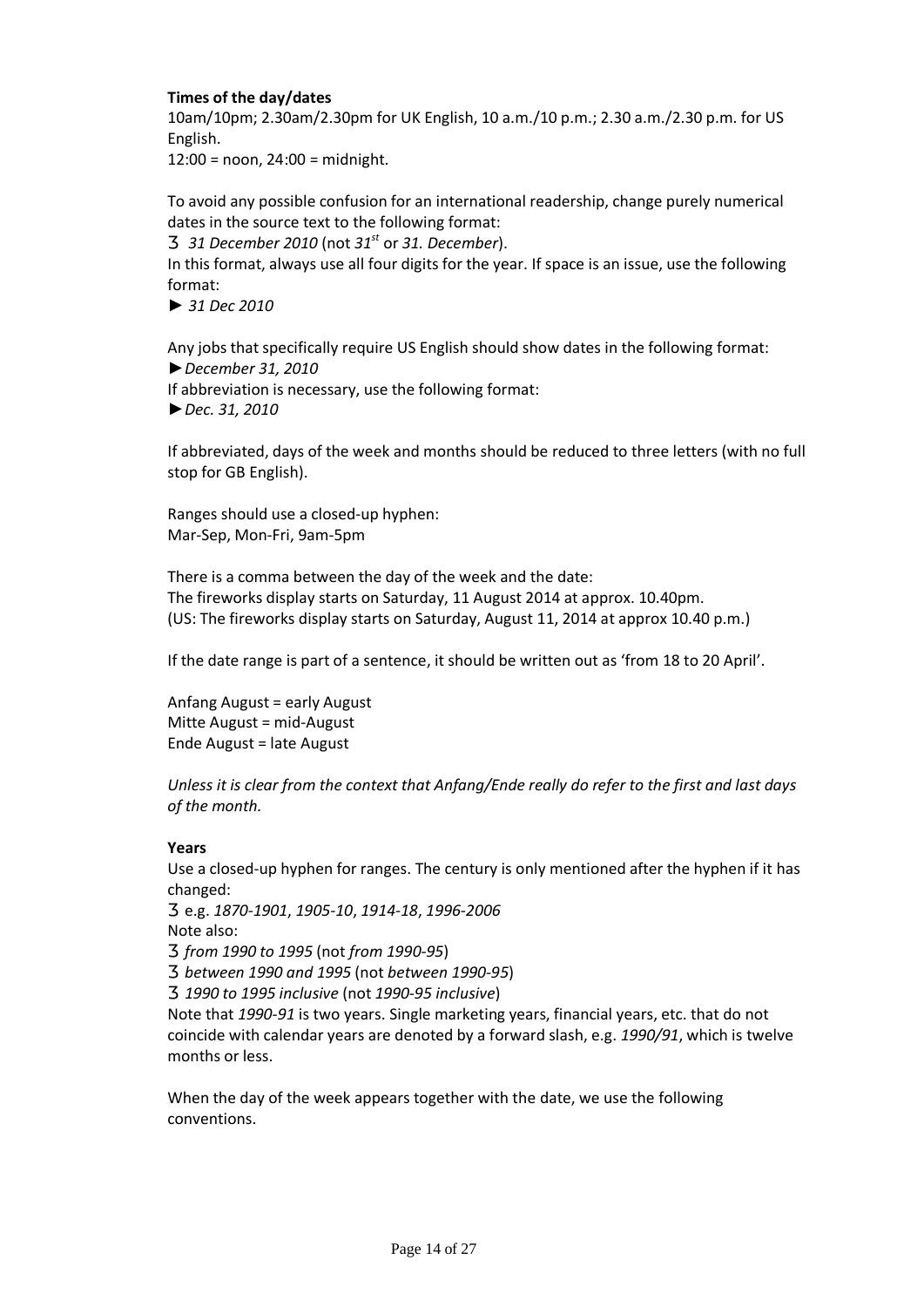#### **Times of the day/dates**

10am/10pm; 2.30am/2.30pm for UK English, 10 a.m./10 p.m.; 2.30 a.m./2.30 p.m. for US English.

12:00 = noon, 24:00 = midnight.

To avoid any possible confusion for an international readership, change purely numerical dates in the source text to the following format:

*31 December 2010* (not *31st* or *31. December*).

In this format, always use all four digits for the year. If space is an issue, use the following format:

*► 31 Dec 2010*

Any jobs that specifically require US English should show dates in the following format: *►December 31, 2010* If abbreviation is necessary, use the following format: *►Dec. 31, 2010* 

If abbreviated, days of the week and months should be reduced to three letters (with no full stop for GB English).

Ranges should use a closed-up hyphen: Mar-Sep, Mon-Fri, 9am-5pm

There is a comma between the day of the week and the date: The fireworks display starts on Saturday, 11 August 2014 at approx. 10.40pm. (US: The fireworks display starts on Saturday, August 11, 2014 at approx 10.40 p.m.)

If the date range is part of a sentence, it should be written out as 'from 18 to 20 April'.

Anfang August = early August Mitte August = mid-August Ende August = late August

*Unless it is clear from the context that Anfang/Ende really do refer to the first and last days of the month.*

#### **Years**

Use a closed-up hyphen for ranges. The century is only mentioned after the hyphen if it has changed:

e.g. *1870-1901*, *1905-10*, *1914-18*, *1996-2006*

Note also:

*from 1990 to 1995* (not *from 1990-95*) *between 1990 and 1995* (not *between 1990-95*) *1990 to 1995 inclusive* (not *1990-95 inclusive*)

Note that *1990-91* is two years. Single marketing years, financial years, etc. that do not coincide with calendar years are denoted by a forward slash, e.g. *1990/91*, which is twelve months or less.

When the day of the week appears together with the date, we use the following conventions.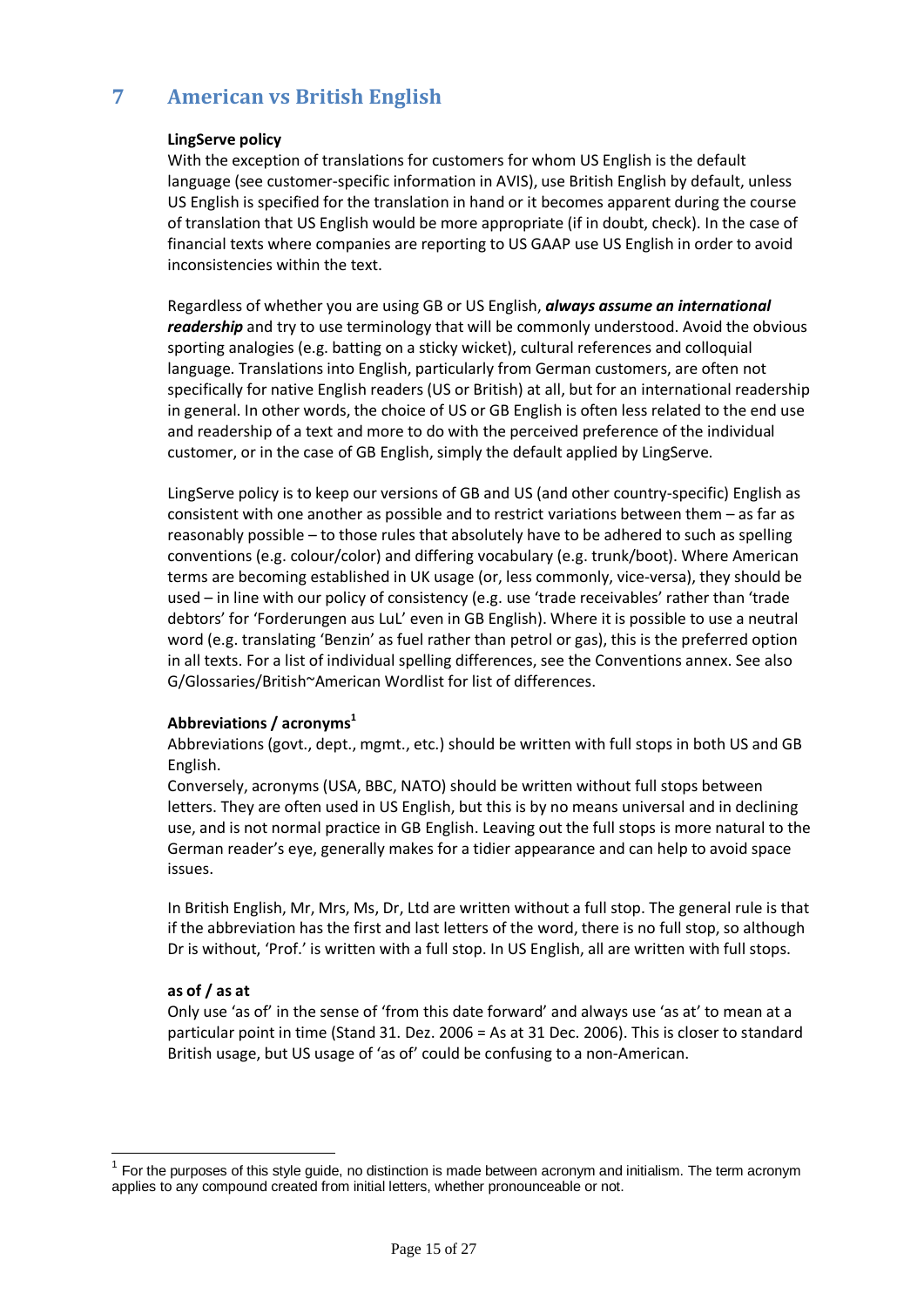# **7 American vs British English**

#### **LingServe policy**

With the exception of translations for customers for whom US English is the default language (see customer-specific information in AVIS), use British English by default, unless US English is specified for the translation in hand or it becomes apparent during the course of translation that US English would be more appropriate (if in doubt, check). In the case of financial texts where companies are reporting to US GAAP use US English in order to avoid inconsistencies within the text.

Regardless of whether you are using GB or US English, *always assume an international readership* and try to use terminology that will be commonly understood. Avoid the obvious sporting analogies (e.g. batting on a sticky wicket), cultural references and colloquial language. Translations into English, particularly from German customers, are often not specifically for native English readers (US or British) at all, but for an international readership in general. In other words, the choice of US or GB English is often less related to the end use and readership of a text and more to do with the perceived preference of the individual customer, or in the case of GB English, simply the default applied by LingServe.

LingServe policy is to keep our versions of GB and US (and other country-specific) English as consistent with one another as possible and to restrict variations between them – as far as reasonably possible – to those rules that absolutely have to be adhered to such as spelling conventions (e.g. colour/color) and differing vocabulary (e.g. trunk/boot). Where American terms are becoming established in UK usage (or, less commonly, vice-versa), they should be used – in line with our policy of consistency (e.g. use 'trade receivables' rather than 'trade debtors' for 'Forderungen aus LuL' even in GB English). Where it is possible to use a neutral word (e.g. translating 'Benzin' as fuel rather than petrol or gas), this is the preferred option in all texts. For a list of individual spelling differences, see the Conventions annex. See also G/Glossaries/British~American Wordlist for list of differences.

#### Abbreviations / acronyms<sup>1</sup>

Abbreviations (govt., dept., mgmt., etc.) should be written with full stops in both US and GB English.

Conversely, acronyms (USA, BBC, NATO) should be written without full stops between letters. They are often used in US English, but this is by no means universal and in declining use, and is not normal practice in GB English. Leaving out the full stops is more natural to the German reader's eye, generally makes for a tidier appearance and can help to avoid space issues.

In British English, Mr, Mrs, Ms, Dr, Ltd are written without a full stop. The general rule is that if the abbreviation has the first and last letters of the word, there is no full stop, so although Dr is without, 'Prof.' is written with a full stop. In US English, all are written with full stops.

#### **as of / as at**

Only use 'as of' in the sense of 'from this date forward' and always use 'as at' to mean at a particular point in time (Stand 31. Dez. 2006 = As at 31 Dec. 2006). This is closer to standard British usage, but US usage of 'as of' could be confusing to a non-American.

 $1$  For the purposes of this style guide, no distinction is made between acronym and initialism. The term acronym applies to any compound created from initial letters, whether pronounceable or not.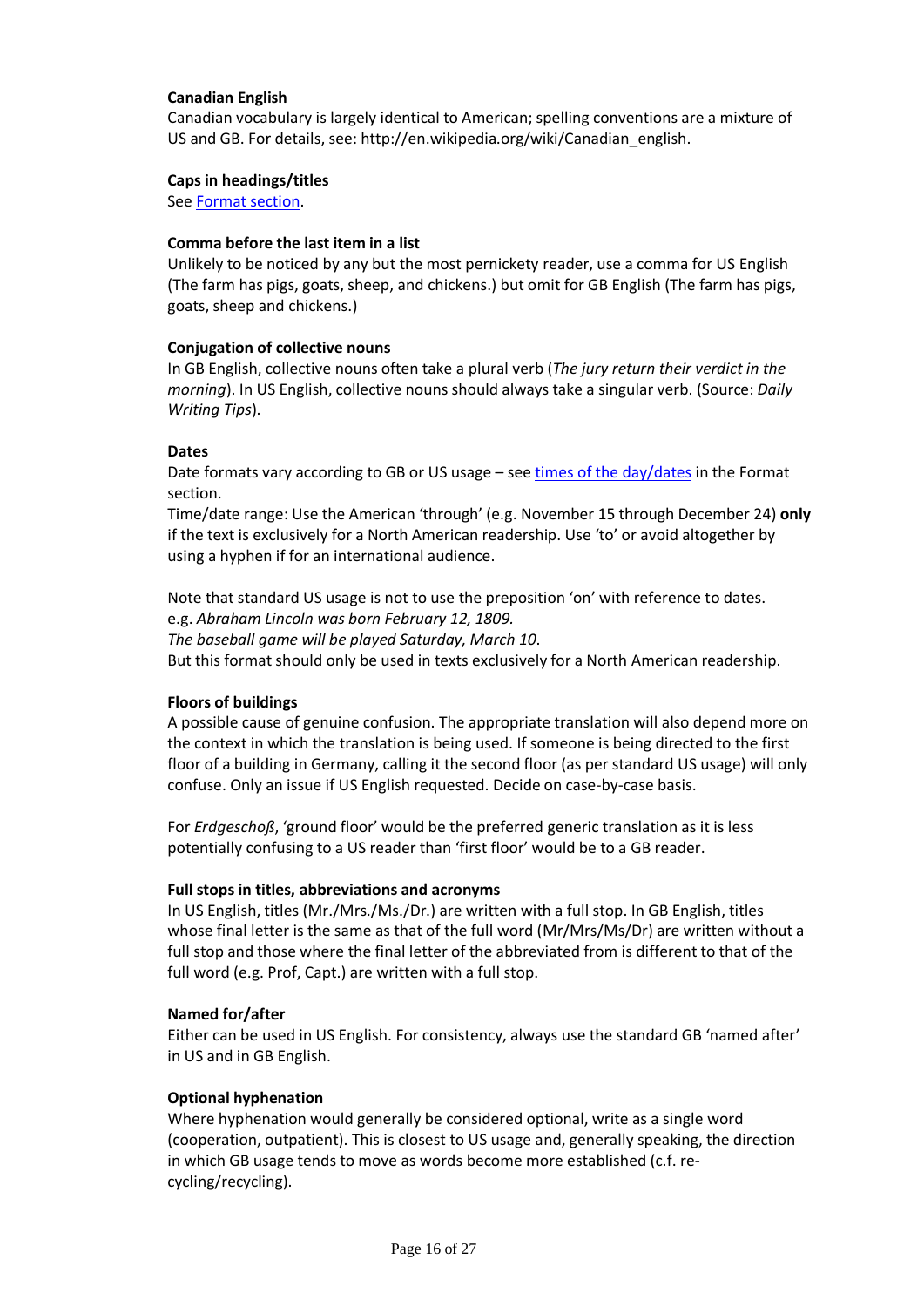#### **Canadian English**

Canadian vocabulary is largely identical to American; spelling conventions are a mixture of US and GB. For details, see: http://en.wikipedia.org/wiki/Canadian\_english.

#### **Caps in headings/titles**

See Format section.

#### **Comma before the last item in a list**

Unlikely to be noticed by any but the most pernickety reader, use a comma for US English (The farm has pigs, goats, sheep, and chickens.) but omit for GB English (The farm has pigs, goats, sheep and chickens.)

#### **Conjugation of collective nouns**

In GB English, collective nouns often take a plural verb (*The jury return their verdict in the morning*). In US English, collective nouns should always take a singular verb. (Source: *Daily Writing Tips*).

#### **Dates**

Date formats vary according to GB or US usage – see times of the day/dates in the Format section.

Time/date range: Use the American 'through' (e.g. November 15 through December 24) **only** if the text is exclusively for a North American readership. Use 'to' or avoid altogether by using a hyphen if for an international audience.

Note that standard US usage is not to use the preposition 'on' with reference to dates. e.g. *Abraham Lincoln was born February 12, 1809. The baseball game will be played Saturday, March 10*.

But this format should only be used in texts exclusively for a North American readership.

#### **Floors of buildings**

A possible cause of genuine confusion. The appropriate translation will also depend more on the context in which the translation is being used. If someone is being directed to the first floor of a building in Germany, calling it the second floor (as per standard US usage) will only confuse. Only an issue if US English requested. Decide on case-by-case basis.

For *Erdgeschoß*, 'ground floor' would be the preferred generic translation as it is less potentially confusing to a US reader than 'first floor' would be to a GB reader.

#### **Full stops in titles, abbreviations and acronyms**

In US English, titles (Mr./Mrs./Ms./Dr.) are written with a full stop. In GB English, titles whose final letter is the same as that of the full word (Mr/Mrs/Ms/Dr) are written without a full stop and those where the final letter of the abbreviated from is different to that of the full word (e.g. Prof, Capt.) are written with a full stop.

#### **Named for/after**

Either can be used in US English. For consistency, always use the standard GB 'named after' in US and in GB English.

#### **Optional hyphenation**

Where hyphenation would generally be considered optional, write as a single word (cooperation, outpatient). This is closest to US usage and, generally speaking, the direction in which GB usage tends to move as words become more established (c.f. recycling/recycling).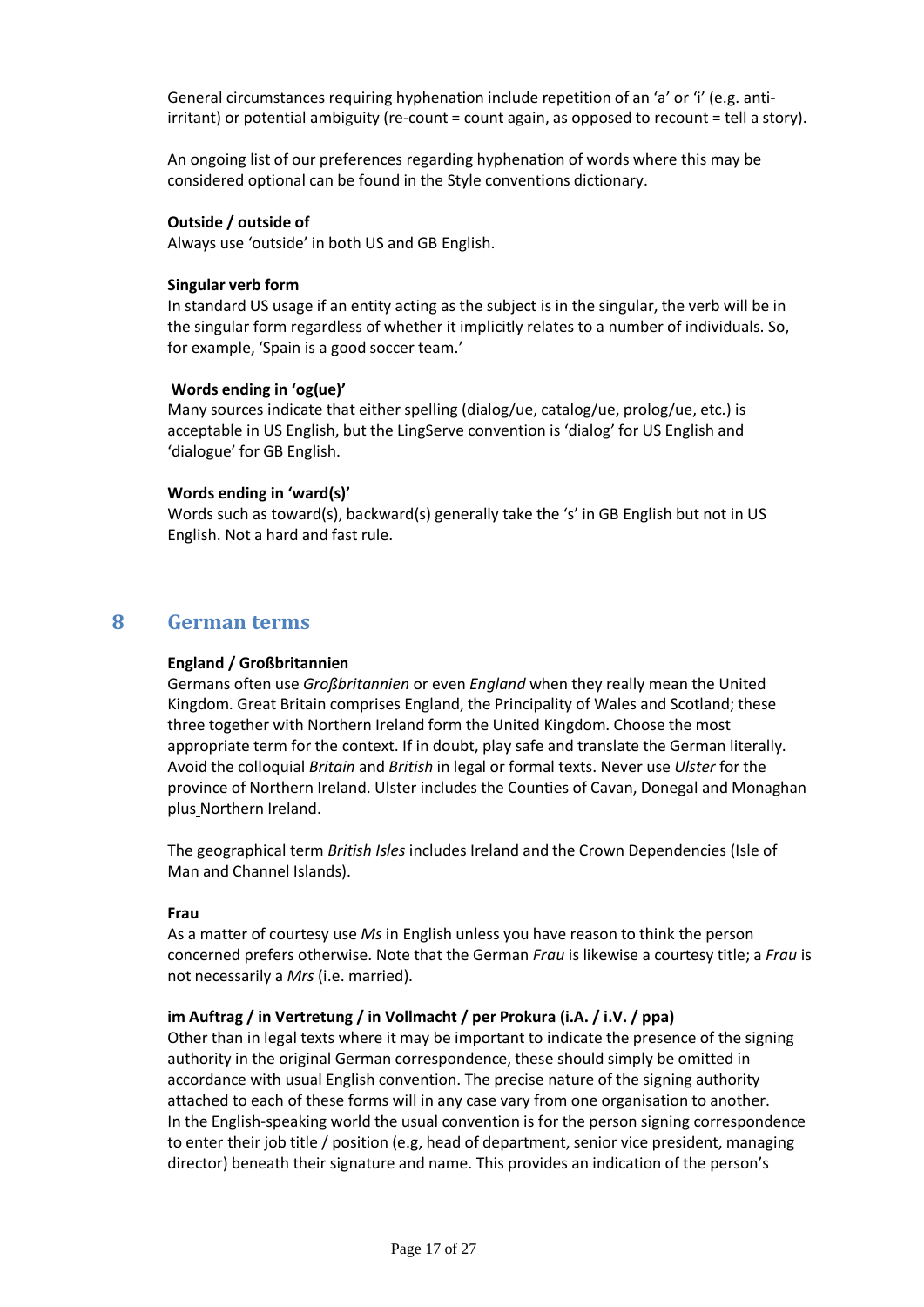General circumstances requiring hyphenation include repetition of an 'a' or 'i' (e.g. antiirritant) or potential ambiguity (re-count = count again, as opposed to recount = tell a story).

An ongoing list of our preferences regarding hyphenation of words where this may be considered optional can be found in the Style conventions dictionary.

#### **Outside / outside of**

Always use 'outside' in both US and GB English.

#### **Singular verb form**

In standard US usage if an entity acting as the subject is in the singular, the verb will be in the singular form regardless of whether it implicitly relates to a number of individuals. So, for example, 'Spain is a good soccer team.'

#### **Words ending in 'og(ue)'**

Many sources indicate that either spelling (dialog/ue, catalog/ue, prolog/ue, etc.) is acceptable in US English, but the LingServe convention is 'dialog' for US English and 'dialogue' for GB English.

#### **Words ending in 'ward(s)'**

Words such as toward(s), backward(s) generally take the 's' in GB English but not in US English. Not a hard and fast rule.

### **8 German terms**

#### **England / Großbritannien**

Germans often use *Großbritannien* or even *England* when they really mean the United Kingdom. Great Britain comprises England, the Principality of Wales and Scotland; these three together with Northern Ireland form the United Kingdom. Choose the most appropriate term for the context. If in doubt, play safe and translate the German literally. Avoid the colloquial *Britain* and *British* in legal or formal texts. Never use *Ulster* for the province of Northern Ireland. Ulster includes the Counties of Cavan, Donegal and Monaghan plus Northern Ireland.

The geographical term *British Isles* includes Ireland and the Crown Dependencies (Isle of Man and Channel Islands).

#### **Frau**

As a matter of courtesy use *Ms* in English unless you have reason to think the person concerned prefers otherwise. Note that the German *Frau* is likewise a courtesy title; a *Frau* is not necessarily a *Mrs* (i.e. married).

#### **im Auftrag / in Vertretung / in Vollmacht / per Prokura (i.A. / i.V. / ppa)**

Other than in legal texts where it may be important to indicate the presence of the signing authority in the original German correspondence, these should simply be omitted in accordance with usual English convention. The precise nature of the signing authority attached to each of these forms will in any case vary from one organisation to another. In the English-speaking world the usual convention is for the person signing correspondence to enter their job title / position (e.g, head of department, senior vice president, managing director) beneath their signature and name. This provides an indication of the person's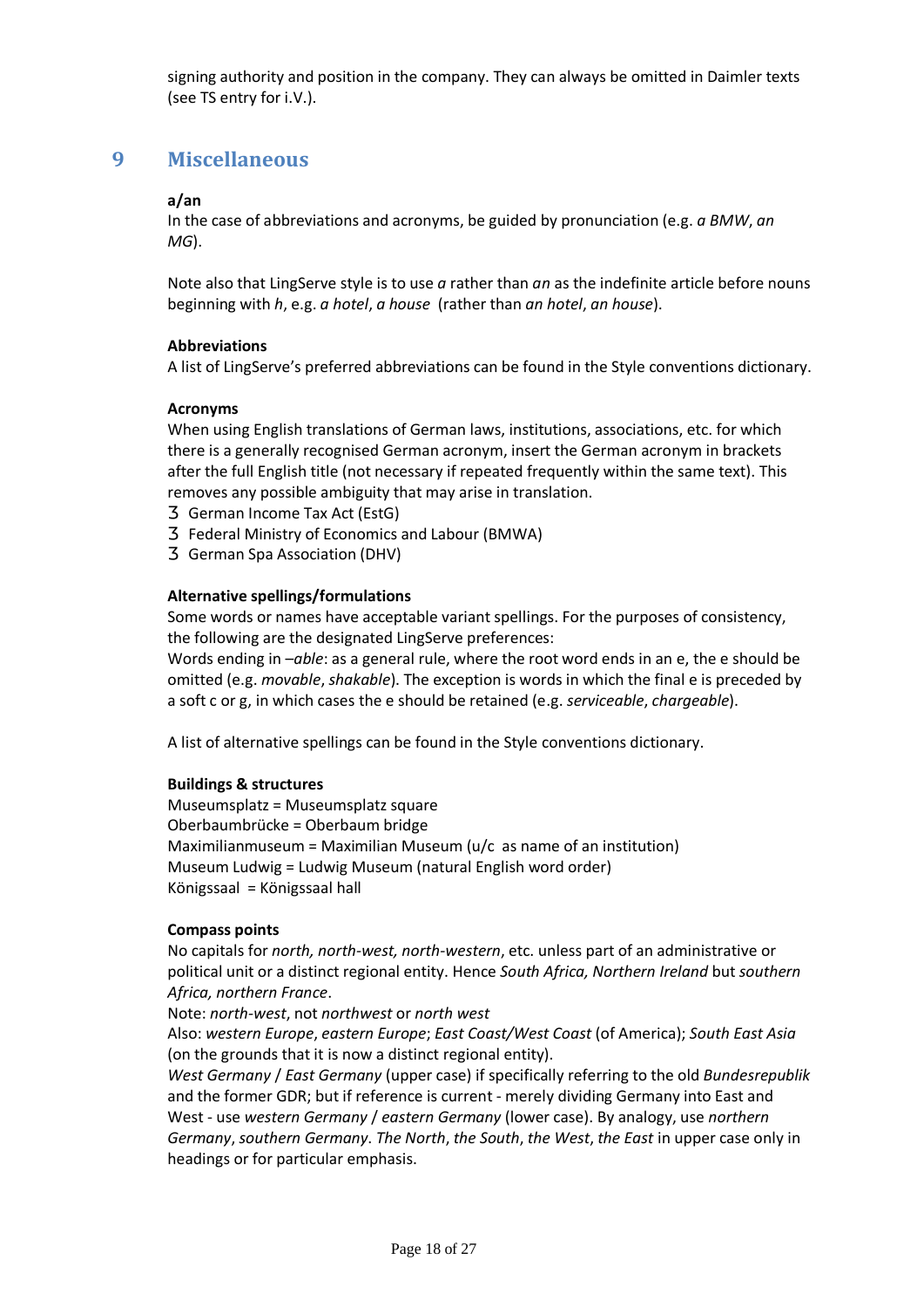signing authority and position in the company. They can always be omitted in Daimler texts (see TS entry for i.V.).

## **9 Miscellaneous**

#### **a/an**

In the case of abbreviations and acronyms, be guided by pronunciation (e.g. *a BMW*, *an MG*).

Note also that LingServe style is to use *a* rather than *an* as the indefinite article before nouns beginning with *h*, e.g. *a hotel*, *a house* (rather than *an hotel*, *an house*).

#### **Abbreviations**

A list of LingServe's preferred abbreviations can be found in the Style conventions dictionary.

#### **Acronyms**

When using English translations of German laws, institutions, associations, etc. for which there is a generally recognised German acronym, insert the German acronym in brackets after the full English title (not necessary if repeated frequently within the same text). This removes any possible ambiguity that may arise in translation.

German Income Tax Act (EstG) Federal Ministry of Economics and Labour (BMWA) German Spa Association (DHV)

#### **Alternative spellings/formulations**

Some words or names have acceptable variant spellings. For the purposes of consistency, the following are the designated LingServe preferences:

Words ending in –*able*: as a general rule, where the root word ends in an e, the e should be omitted (e.g. *movable*, *shakable*). The exception is words in which the final e is preceded by a soft c or g, in which cases the e should be retained (e.g. *serviceable*, *chargeable*).

A list of alternative spellings can be found in the Style conventions dictionary.

#### **Buildings & structures**

Museumsplatz = Museumsplatz square Oberbaumbrücke = Oberbaum bridge Maximilianmuseum = Maximilian Museum (u/c as name of an institution) Museum Ludwig = Ludwig Museum (natural English word order) Königssaal = Königssaal hall

#### **Compass points**

No capitals for *north, north-west, north-western*, etc. unless part of an administrative or political unit or a distinct regional entity. Hence *South Africa, Northern Ireland* but *southern Africa, northern France*.

Note: *north-west*, not *northwest* or *north west*

Also: *western Europe*, *eastern Europe*; *East Coast/West Coast* (of America); *South East Asia* (on the grounds that it is now a distinct regional entity).

*West Germany* / *East Germany* (upper case) if specifically referring to the old *Bundesrepublik*  and the former GDR; but if reference is current - merely dividing Germany into East and West - use *western Germany* / *eastern Germany* (lower case). By analogy, use *northern Germany*, *southern Germany*. *The North*, *the South*, *the West*, *the East* in upper case only in headings or for particular emphasis.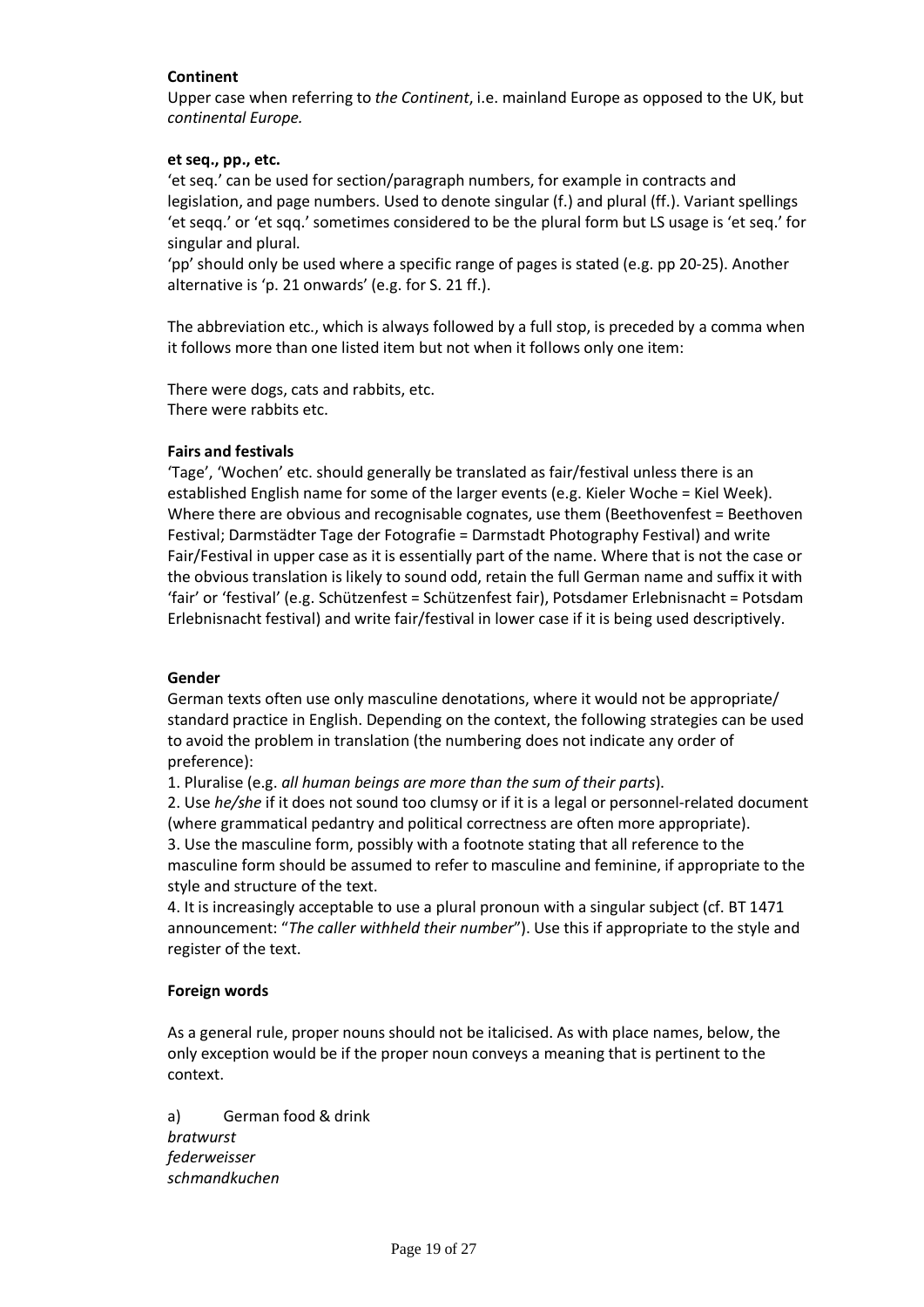#### **Continent**

Upper case when referring to *the Continent*, i.e. mainland Europe as opposed to the UK, but *continental Europe.*

#### **et seq., pp., etc.**

'et seq.' can be used for section/paragraph numbers, for example in contracts and legislation, and page numbers. Used to denote singular (f.) and plural (ff.). Variant spellings 'et seqq.' or 'et sqq.' sometimes considered to be the plural form but LS usage is 'et seq.' for singular and plural.

'pp' should only be used where a specific range of pages is stated (e.g. pp 20-25). Another alternative is 'p. 21 onwards' (e.g. for S. 21 ff.).

The abbreviation etc., which is always followed by a full stop, is preceded by a comma when it follows more than one listed item but not when it follows only one item:

There were dogs, cats and rabbits, etc. There were rabbits etc.

#### **Fairs and festivals**

'Tage', 'Wochen' etc. should generally be translated as fair/festival unless there is an established English name for some of the larger events (e.g. Kieler Woche = Kiel Week). Where there are obvious and recognisable cognates, use them (Beethovenfest = Beethoven Festival; Darmstädter Tage der Fotografie = Darmstadt Photography Festival) and write Fair/Festival in upper case as it is essentially part of the name. Where that is not the case or the obvious translation is likely to sound odd, retain the full German name and suffix it with 'fair' or 'festival' (e.g. Schützenfest = Schützenfest fair), Potsdamer Erlebnisnacht = Potsdam Erlebnisnacht festival) and write fair/festival in lower case if it is being used descriptively.

#### **Gender**

German texts often use only masculine denotations, where it would not be appropriate/ standard practice in English. Depending on the context, the following strategies can be used to avoid the problem in translation (the numbering does not indicate any order of preference):

1. Pluralise (e.g. *all human beings are more than the sum of their parts*).

2. Use *he/she* if it does not sound too clumsy or if it is a legal or personnel-related document (where grammatical pedantry and political correctness are often more appropriate). 3. Use the masculine form, possibly with a footnote stating that all reference to the masculine form should be assumed to refer to masculine and feminine, if appropriate to the style and structure of the text.

4. It is increasingly acceptable to use a plural pronoun with a singular subject (cf. BT 1471 announcement: "*The caller withheld their number*"). Use this if appropriate to the style and register of the text.

#### **Foreign words**

As a general rule, proper nouns should not be italicised. As with place names, below, the only exception would be if the proper noun conveys a meaning that is pertinent to the context.

a) German food & drink *bratwurst federweisser schmandkuchen*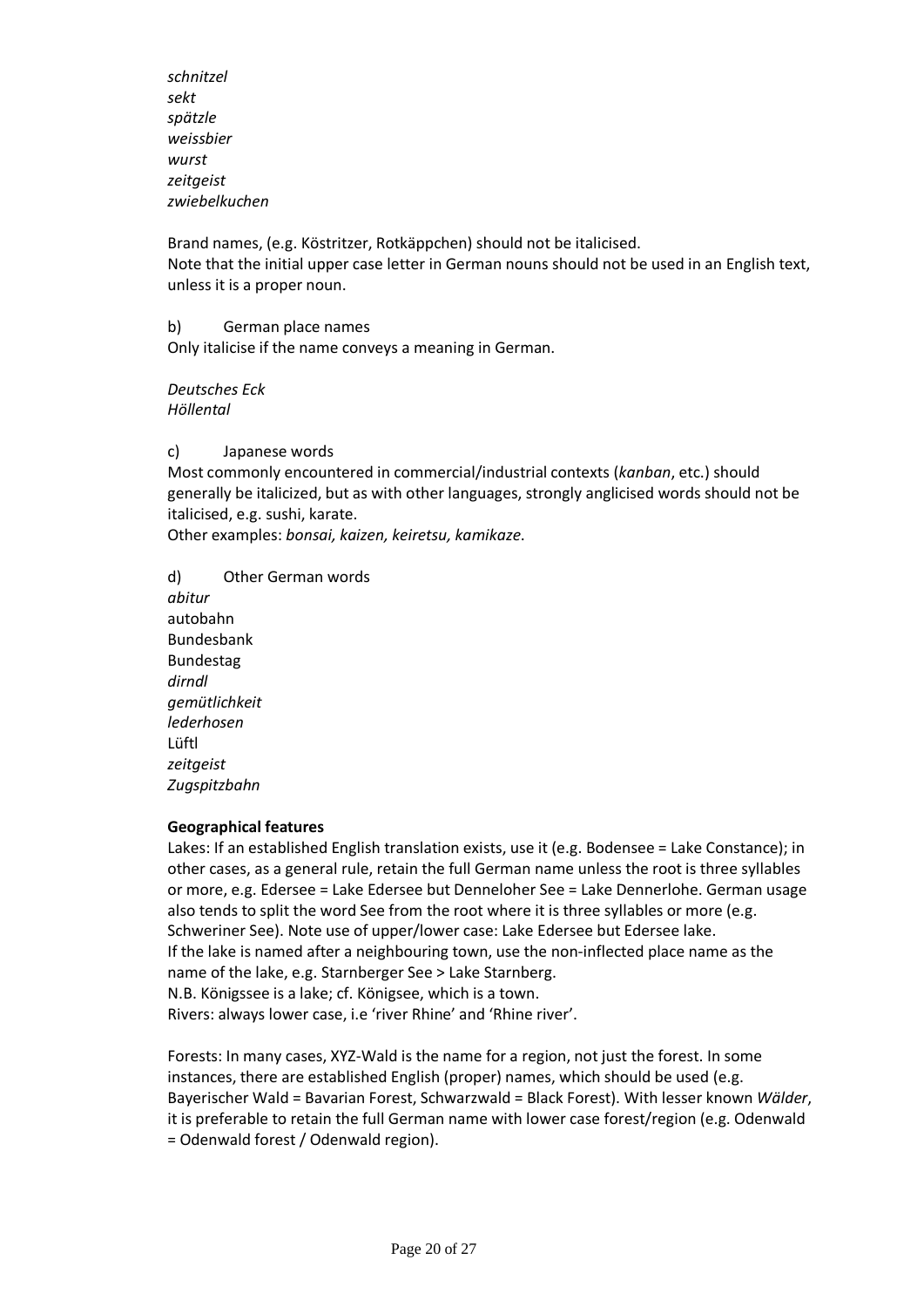*schnitzel sekt spätzle weissbier wurst zeitgeist zwiebelkuchen*

Brand names, (e.g. Köstritzer, Rotkäppchen) should not be italicised. Note that the initial upper case letter in German nouns should not be used in an English text, unless it is a proper noun.

b) German place names Only italicise if the name conveys a meaning in German.

*Deutsches Eck Höllental*

c) Japanese words

Most commonly encountered in commercial/industrial contexts (*kanban*, etc.) should generally be italicized, but as with other languages, strongly anglicised words should not be italicised, e.g. sushi, karate.

Other examples: *bonsai, kaizen, keiretsu, kamikaze*.

d) Other German words *abitur* autobahn Bundesbank Bundestag *dirndl gemütlichkeit lederhosen* Lüftl *zeitgeist Zugspitzbahn*

#### **Geographical features**

Lakes: If an established English translation exists, use it (e.g. Bodensee = Lake Constance); in other cases, as a general rule, retain the full German name unless the root is three syllables or more, e.g. Edersee = Lake Edersee but Denneloher See = Lake Dennerlohe. German usage also tends to split the word See from the root where it is three syllables or more (e.g. Schweriner See). Note use of upper/lower case: Lake Edersee but Edersee lake. If the lake is named after a neighbouring town, use the non-inflected place name as the name of the lake, e.g. Starnberger See > Lake Starnberg. N.B. Königssee is a lake; cf. Königsee, which is a town. Rivers: always lower case, i.e 'river Rhine' and 'Rhine river'.

Forests: In many cases, XYZ-Wald is the name for a region, not just the forest. In some instances, there are established English (proper) names, which should be used (e.g. Bayerischer Wald = Bavarian Forest, Schwarzwald = Black Forest). With lesser known *Wälder*, it is preferable to retain the full German name with lower case forest/region (e.g. Odenwald = Odenwald forest / Odenwald region).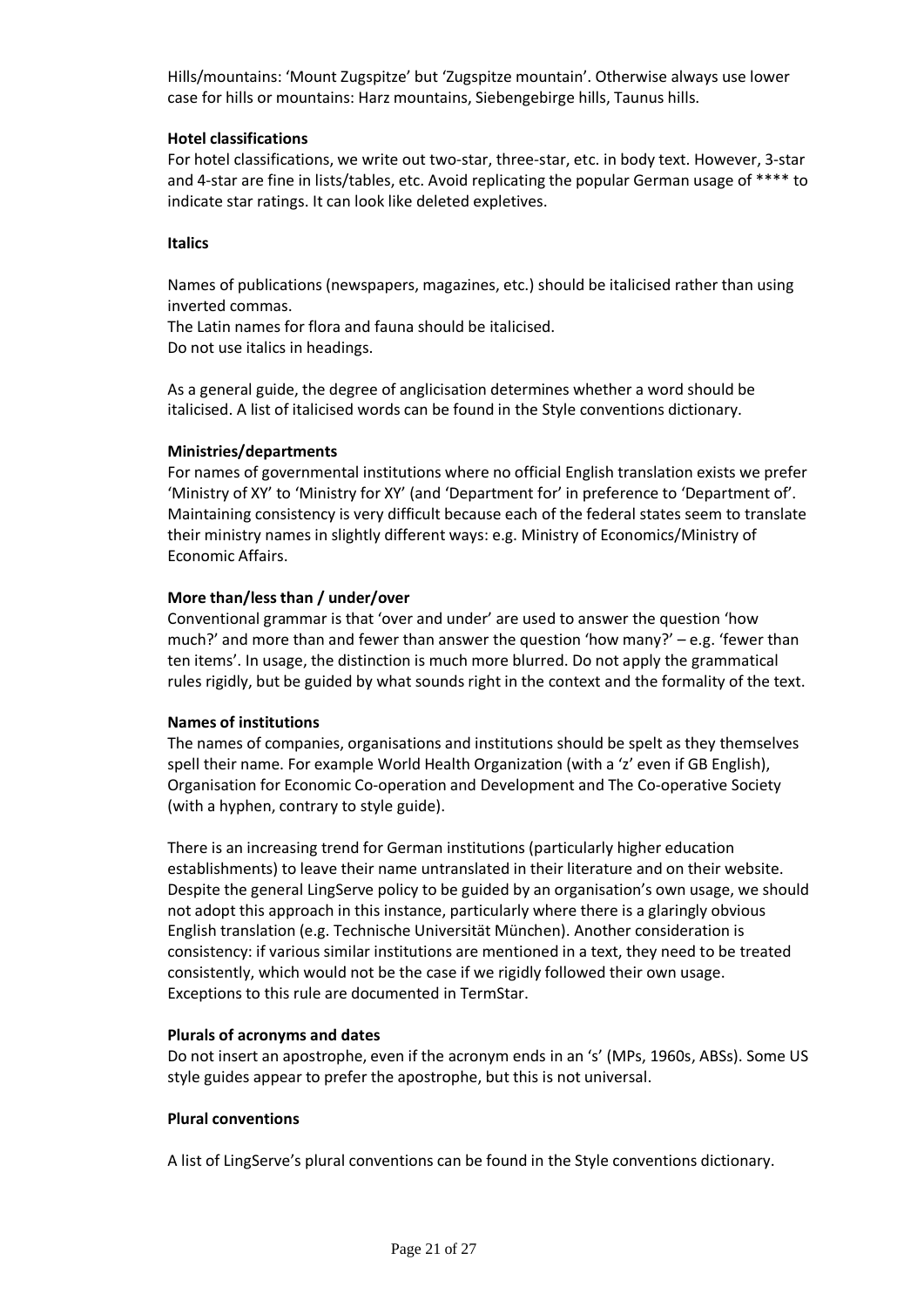Hills/mountains: 'Mount Zugspitze' but 'Zugspitze mountain'. Otherwise always use lower case for hills or mountains: Harz mountains, Siebengebirge hills, Taunus hills.

#### **Hotel classifications**

For hotel classifications, we write out two-star, three-star, etc. in body text. However, 3-star and 4-star are fine in lists/tables, etc. Avoid replicating the popular German usage of \*\*\*\* to indicate star ratings. It can look like deleted expletives.

#### **Italics**

Names of publications (newspapers, magazines, etc.) should be italicised rather than using inverted commas.

The Latin names for flora and fauna should be italicised. Do not use italics in headings.

As a general guide, the degree of anglicisation determines whether a word should be italicised. A list of italicised words can be found in the Style conventions dictionary.

#### **Ministries/departments**

For names of governmental institutions where no official English translation exists we prefer 'Ministry of XY' to 'Ministry for XY' (and 'Department for' in preference to 'Department of'. Maintaining consistency is very difficult because each of the federal states seem to translate their ministry names in slightly different ways: e.g. Ministry of Economics/Ministry of Economic Affairs.

#### **More than/less than / under/over**

Conventional grammar is that 'over and under' are used to answer the question 'how much?' and more than and fewer than answer the question 'how many?' – e.g. 'fewer than ten items'. In usage, the distinction is much more blurred. Do not apply the grammatical rules rigidly, but be guided by what sounds right in the context and the formality of the text.

#### **Names of institutions**

The names of companies, organisations and institutions should be spelt as they themselves spell their name. For example World Health Organization (with a 'z' even if GB English), Organisation for Economic Co-operation and Development and The Co-operative Society (with a hyphen, contrary to style guide).

There is an increasing trend for German institutions (particularly higher education establishments) to leave their name untranslated in their literature and on their website. Despite the general LingServe policy to be guided by an organisation's own usage, we should not adopt this approach in this instance, particularly where there is a glaringly obvious English translation (e.g. Technische Universität München). Another consideration is consistency: if various similar institutions are mentioned in a text, they need to be treated consistently, which would not be the case if we rigidly followed their own usage. Exceptions to this rule are documented in TermStar.

#### **Plurals of acronyms and dates**

Do not insert an apostrophe, even if the acronym ends in an 's' (MPs, 1960s, ABSs). Some US style guides appear to prefer the apostrophe, but this is not universal.

#### **Plural conventions**

A list of LingServe's plural conventions can be found in the Style conventions dictionary.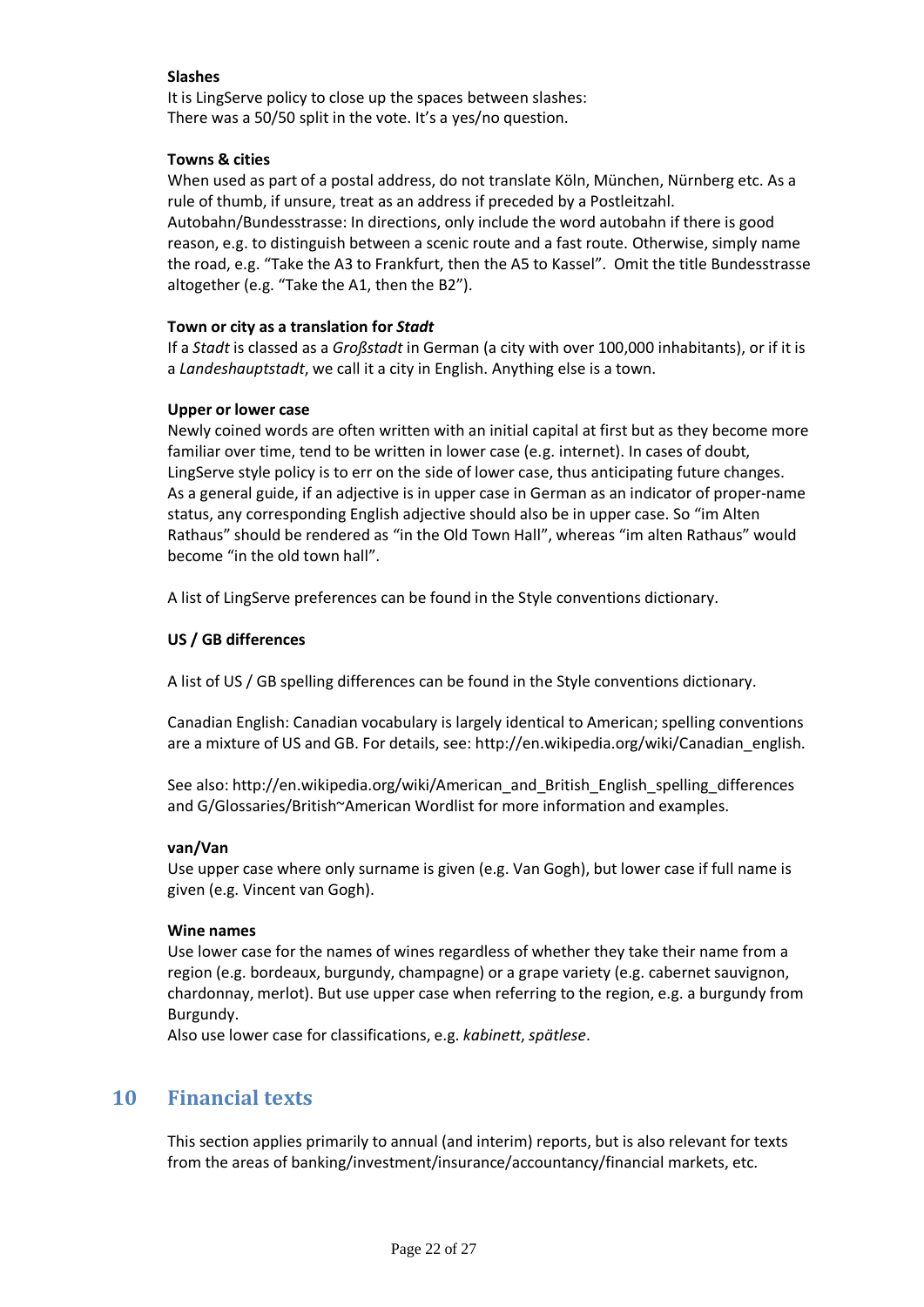#### **Slashes**

It is LingServe policy to close up the spaces between slashes: There was a 50/50 split in the vote. It's a yes/no question.

#### **Towns & cities**

When used as part of a postal address, do not translate Köln, München, Nürnberg etc. As a rule of thumb, if unsure, treat as an address if preceded by a Postleitzahl. Autobahn/Bundesstrasse: In directions, only include the word autobahn if there is good reason, e.g. to distinguish between a scenic route and a fast route. Otherwise, simply name the road, e.g. "Take the A3 to Frankfurt, then the A5 to Kassel". Omit the title Bundesstrasse altogether (e.g. "Take the A1, then the B2").

#### **Town or city as a translation for** *Stadt*

If a *Stadt* is classed as a *Großstadt* in German (a city with over 100,000 inhabitants), or if it is a *Landeshauptstadt*, we call it a city in English. Anything else is a town.

#### **Upper or lower case**

Newly coined words are often written with an initial capital at first but as they become more familiar over time, tend to be written in lower case (e.g. internet). In cases of doubt, LingServe style policy is to err on the side of lower case, thus anticipating future changes. As a general guide, if an adjective is in upper case in German as an indicator of proper-name status, any corresponding English adjective should also be in upper case. So "im Alten Rathaus" should be rendered as "in the Old Town Hall", whereas "im alten Rathaus" would become "in the old town hall".

A list of LingServe preferences can be found in the Style conventions dictionary.

#### **US / GB differences**

A list of US / GB spelling differences can be found in the Style conventions dictionary.

Canadian English: Canadian vocabulary is largely identical to American; spelling conventions are a mixture of US and GB. For details, see: http://en.wikipedia.org/wiki/Canadian\_english.

See also: http://en.wikipedia.org/wiki/American\_and\_British\_English\_spelling\_differences and G/Glossaries/British~American Wordlist for more information and examples.

#### **van/Van**

Use upper case where only surname is given (e.g. Van Gogh), but lower case if full name is given (e.g. Vincent van Gogh).

#### **Wine names**

Use lower case for the names of wines regardless of whether they take their name from a region (e.g. bordeaux, burgundy, champagne) or a grape variety (e.g. cabernet sauvignon, chardonnay, merlot). But use upper case when referring to the region, e.g. a burgundy from Burgundy.

Also use lower case for classifications, e.g. *kabinett*, *spätlese*.

## **10 Financial texts**

This section applies primarily to annual (and interim) reports, but is also relevant for texts from the areas of banking/investment/insurance/accountancy/financial markets, etc.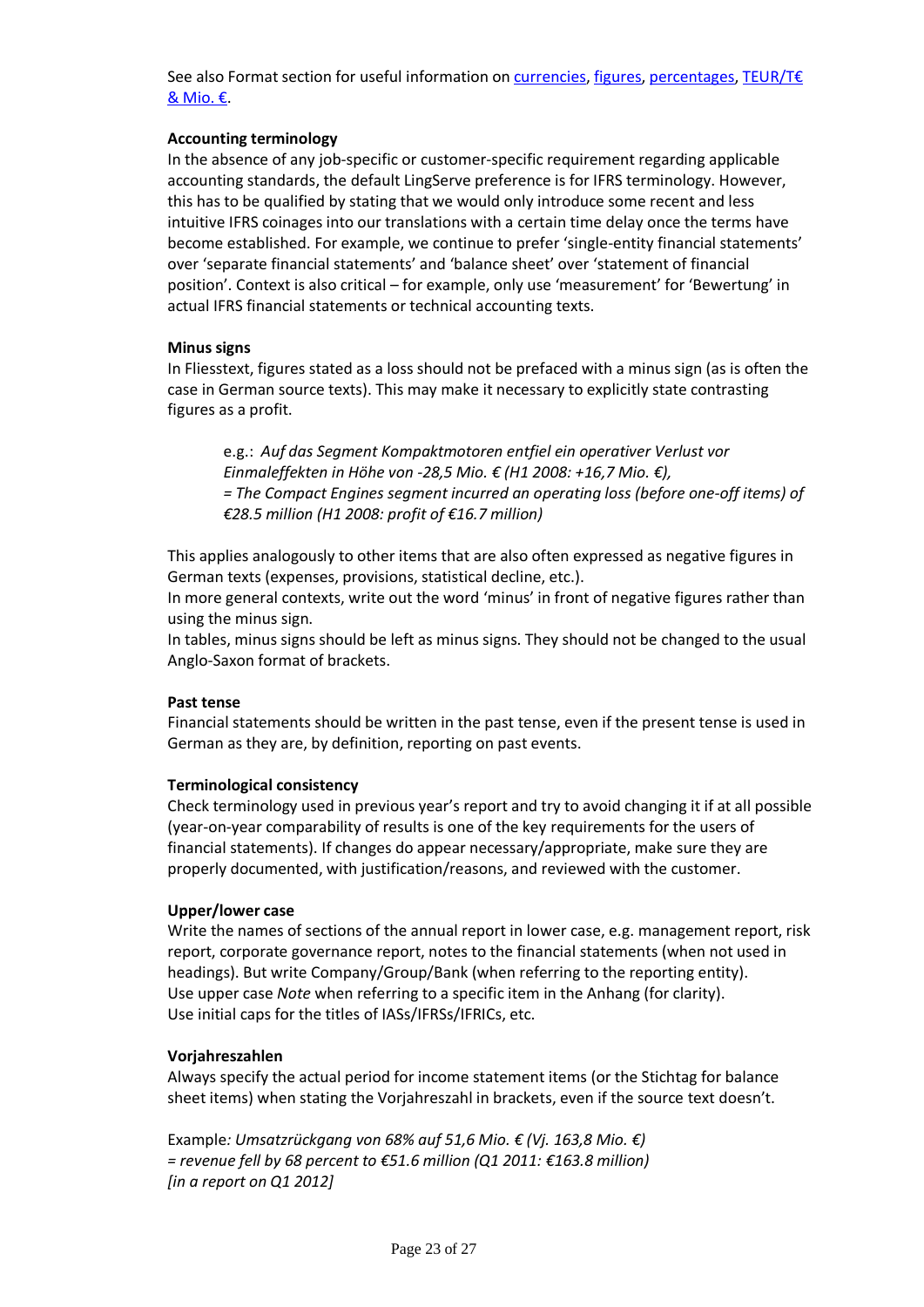See also Format section for useful information on currencies, figures, percentages, TEUR/T€ & Mio. €.

#### **Accounting terminology**

In the absence of any job-specific or customer-specific requirement regarding applicable accounting standards, the default LingServe preference is for IFRS terminology. However, this has to be qualified by stating that we would only introduce some recent and less intuitive IFRS coinages into our translations with a certain time delay once the terms have become established. For example, we continue to prefer 'single-entity financial statements' over 'separate financial statements' and 'balance sheet' over 'statement of financial position'. Context is also critical – for example, only use 'measurement' for 'Bewertung' in actual IFRS financial statements or technical accounting texts.

#### **Minus signs**

In Fliesstext, figures stated as a loss should not be prefaced with a minus sign (as is often the case in German source texts). This may make it necessary to explicitly state contrasting figures as a profit.

e.g.: *Auf das Segment Kompaktmotoren entfiel ein operativer Verlust vor Einmaleffekten in Höhe von -28,5 Mio. € (H1 2008: +16,7 Mio. €), = The Compact Engines segment incurred an operating loss (before one-off items) of €28.5 million (H1 2008: profit of €16.7 million)*

This applies analogously to other items that are also often expressed as negative figures in German texts (expenses, provisions, statistical decline, etc.).

In more general contexts, write out the word 'minus' in front of negative figures rather than using the minus sign.

In tables, minus signs should be left as minus signs. They should not be changed to the usual Anglo-Saxon format of brackets.

#### **Past tense**

Financial statements should be written in the past tense, even if the present tense is used in German as they are, by definition, reporting on past events.

#### **Terminological consistency**

Check terminology used in previous year's report and try to avoid changing it if at all possible (year-on-year comparability of results is one of the key requirements for the users of financial statements). If changes do appear necessary/appropriate, make sure they are properly documented, with justification/reasons, and reviewed with the customer.

#### **Upper/lower case**

Write the names of sections of the annual report in lower case, e.g. management report, risk report, corporate governance report, notes to the financial statements (when not used in headings). But write Company/Group/Bank (when referring to the reporting entity). Use upper case *Note* when referring to a specific item in the Anhang (for clarity). Use initial caps for the titles of IASs/IFRSs/IFRICs, etc.

#### **Vorjahreszahlen**

Always specify the actual period for income statement items (or the Stichtag for balance sheet items) when stating the Vorjahreszahl in brackets, even if the source text doesn't.

Example*: Umsatzrückgang von 68% auf 51,6 Mio. € (Vj. 163,8 Mio. €) = revenue fell by 68 percent to €51.6 million (Q1 2011: €163.8 million) [in a report on Q1 2012]*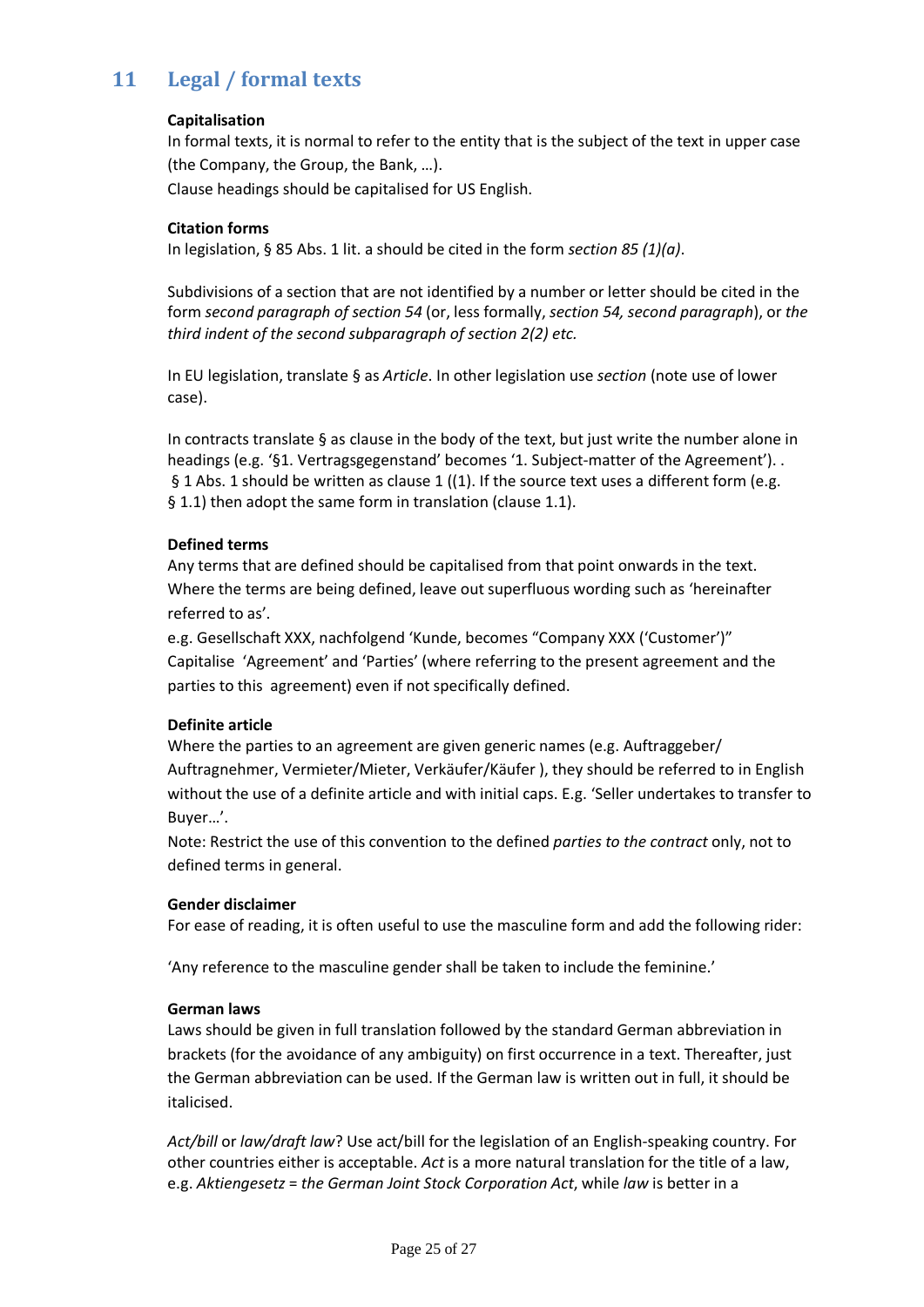# **11 Legal / formal texts**

#### **Capitalisation**

In formal texts, it is normal to refer to the entity that is the subject of the text in upper case (the Company, the Group, the Bank, …). Clause headings should be capitalised for US English.

#### **Citation forms**

In legislation, § 85 Abs. 1 lit. a should be cited in the form *section 85 (1)(a)*.

Subdivisions of a section that are not identified by a number or letter should be cited in the form *second paragraph of section 54* (or, less formally, *section 54, second paragraph*), or *the third indent of the second subparagraph of section 2(2) etc.*

In EU legislation, translate § as *Article*. In other legislation use *section* (note use of lower case).

In contracts translate § as clause in the body of the text, but just write the number alone in headings (e.g. '§1. Vertragsgegenstand' becomes '1. Subject-matter of the Agreement'). . § 1 Abs. 1 should be written as clause 1 ((1). If the source text uses a different form (e.g. § 1.1) then adopt the same form in translation (clause 1.1).

#### **Defined terms**

Any terms that are defined should be capitalised from that point onwards in the text. Where the terms are being defined, leave out superfluous wording such as 'hereinafter referred to as'.

e.g. Gesellschaft XXX, nachfolgend 'Kunde, becomes "Company XXX ('Customer')" Capitalise 'Agreement' and 'Parties' (where referring to the present agreement and the parties to this agreement) even if not specifically defined.

#### **Definite article**

Where the parties to an agreement are given generic names (e.g. Auftraggeber/ Auftragnehmer, Vermieter/Mieter, Verkäufer/Käufer ), they should be referred to in English without the use of a definite article and with initial caps. E.g. 'Seller undertakes to transfer to Buyer…'.

Note: Restrict the use of this convention to the defined *parties to the contract* only, not to defined terms in general.

#### **Gender disclaimer**

For ease of reading, it is often useful to use the masculine form and add the following rider:

'Any reference to the masculine gender shall be taken to include the feminine.'

#### **German laws**

Laws should be given in full translation followed by the standard German abbreviation in brackets (for the avoidance of any ambiguity) on first occurrence in a text. Thereafter, just the German abbreviation can be used. If the German law is written out in full, it should be italicised.

*Act/bill* or *law/draft law*? Use act/bill for the legislation of an English-speaking country. For other countries either is acceptable. *Act* is a more natural translation for the title of a law, e.g. *Aktiengesetz* = *the German Joint Stock Corporation Act*, while *law* is better in a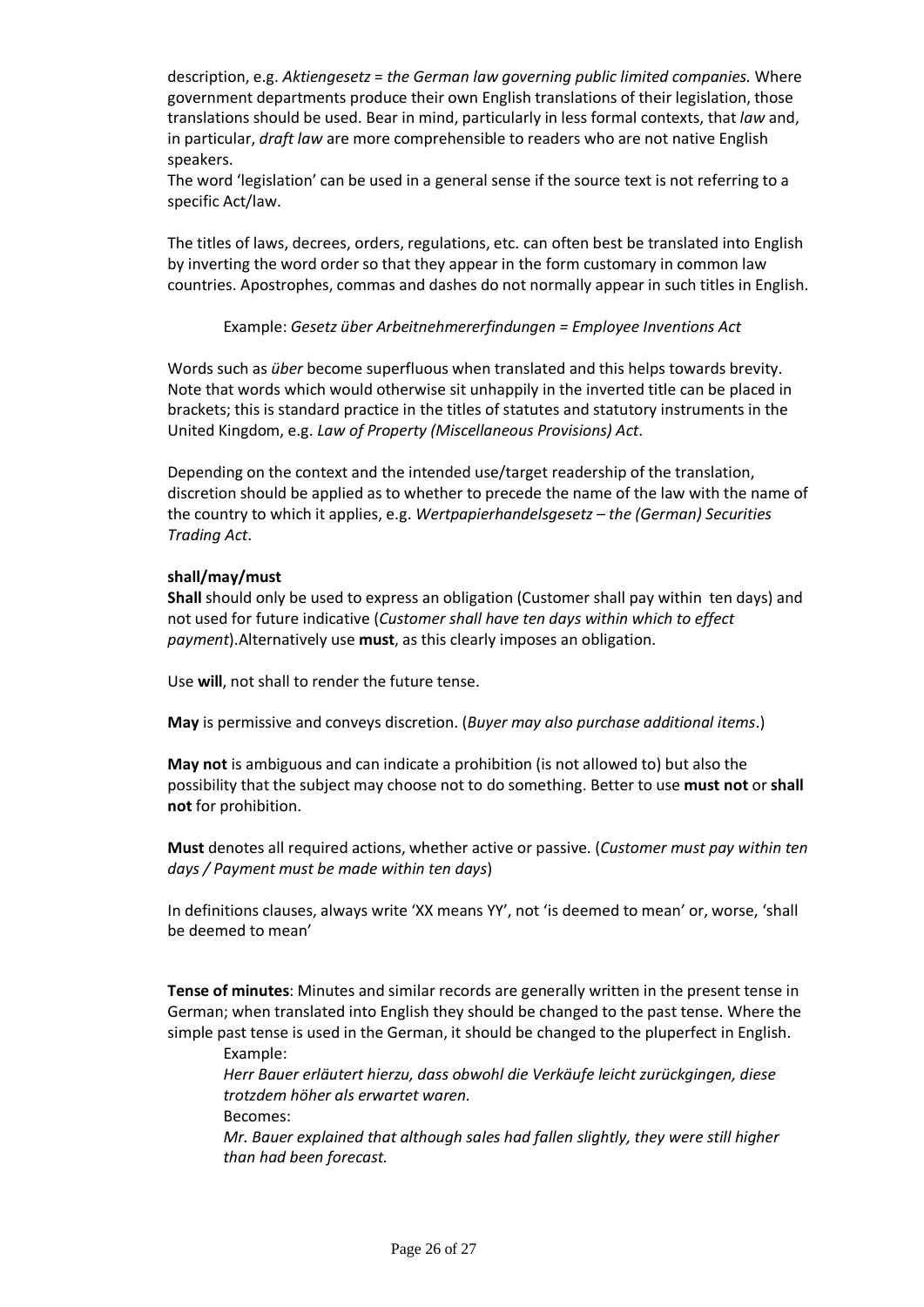description, e.g. *Aktiengesetz* = *the German law governing public limited companies.* Where government departments produce their own English translations of their legislation, those translations should be used. Bear in mind, particularly in less formal contexts, that *law* and, in particular, *draft law* are more comprehensible to readers who are not native English speakers.

The word 'legislation' can be used in a general sense if the source text is not referring to a specific Act/law.

The titles of laws, decrees, orders, regulations, etc. can often best be translated into English by inverting the word order so that they appear in the form customary in common law countries. Apostrophes, commas and dashes do not normally appear in such titles in English.

Example: *Gesetz über Arbeitnehmererfindungen = Employee Inventions Act*

Words such as *über* become superfluous when translated and this helps towards brevity. Note that words which would otherwise sit unhappily in the inverted title can be placed in brackets; this is standard practice in the titles of statutes and statutory instruments in the United Kingdom, e.g. *Law of Property (Miscellaneous Provisions) Act*.

Depending on the context and the intended use/target readership of the translation, discretion should be applied as to whether to precede the name of the law with the name of the country to which it applies, e.g. *Wertpapierhandelsgesetz – the (German) Securities Trading Act*.

#### **shall/may/must**

**Shall** should only be used to express an obligation (Customer shall pay within ten days) and not used for future indicative (*Customer shall have ten days within which to effect payment*).Alternatively use **must**, as this clearly imposes an obligation.

Use **will**, not shall to render the future tense.

**May** is permissive and conveys discretion. (*Buyer may also purchase additional items*.)

**May not** is ambiguous and can indicate a prohibition (is not allowed to) but also the possibility that the subject may choose not to do something. Better to use **must not** or **shall not** for prohibition.

**Must** denotes all required actions, whether active or passive. (*Customer must pay within ten days / Payment must be made within ten days*)

In definitions clauses, always write 'XX means YY', not 'is deemed to mean' or, worse, 'shall be deemed to mean'

**Tense of minutes**: Minutes and similar records are generally written in the present tense in German; when translated into English they should be changed to the past tense. Where the simple past tense is used in the German, it should be changed to the pluperfect in English.

Example:

*Herr Bauer erläutert hierzu, dass obwohl die Verkäufe leicht zurückgingen, diese trotzdem höher als erwartet waren.*

Becomes:

*Mr. Bauer explained that although sales had fallen slightly, they were still higher than had been forecast.*